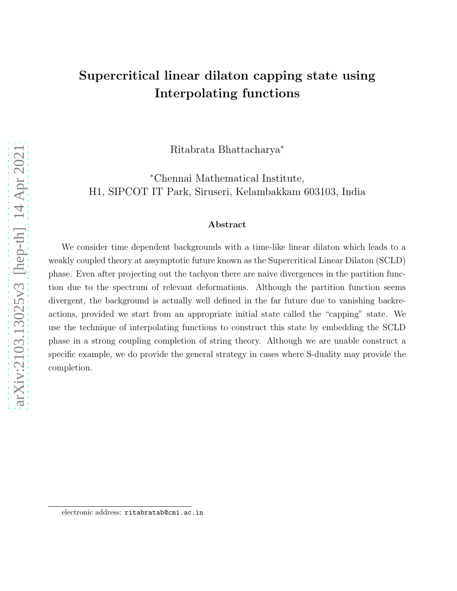# Supercritical linear dilaton capping state using Interpolating functions

Ritabrata Bhattacharya<sup>∗</sup>

<sup>∗</sup>Chennai Mathematical Institute, H1, SIPCOT IT Park, Siruseri, Kelambakkam 603103, India

#### Abstract

We consider time dependent backgrounds with a time-like linear dilaton which leads to a weakly coupled theory at assymptotic future known as the Supercritical Linear Dilaton (SCLD) phase. Even after projecting out the tachyon there are naive divergences in the partition function due to the spectrum of relevant deformations. Although the partition function seems divergent, the background is actually well defined in the far future due to vanishing backreactions, provided we start from an appropriate initial state called the "capping" state. We use the technique of interpolating functions to construct this state by embedding the SCLD phase in a strong coupling completion of string theory. Although we are unable construct a specific example, we do provide the general strategy in cases where S-duality may provide the completion.

electronic address: ritabratab@cmi.ac.in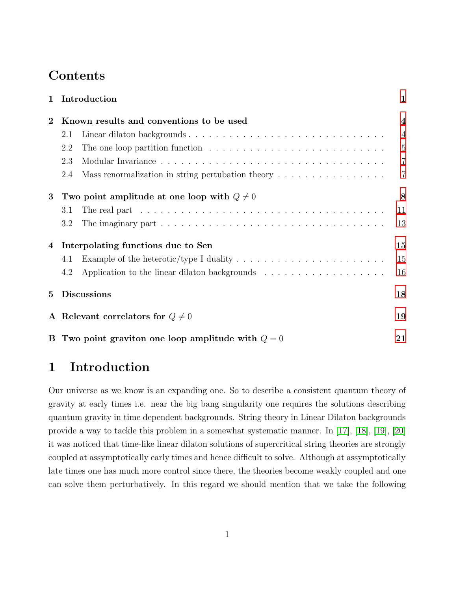## **Contents**

| $\mathbf{1}$ | Introduction                                                                                                     | $\mathbf{1}$     |
|--------------|------------------------------------------------------------------------------------------------------------------|------------------|
| $\bf{2}$     | Known results and conventions to be used                                                                         | $\boldsymbol{4}$ |
|              | Linear dilaton backgrounds<br>2.1                                                                                | $\overline{4}$   |
|              | The one loop partition function $\dots \dots \dots \dots \dots \dots \dots \dots \dots \dots$<br>2.2             | $\overline{5}$   |
|              | 2.3                                                                                                              | $\overline{7}$   |
|              | Mass renormalization in string pertubation theory $\dots \dots \dots \dots \dots$<br>2.4                         | $\overline{7}$   |
| 3            | Two point amplitude at one loop with $Q \neq 0$                                                                  | 8                |
|              | The real part $\dots \dots \dots \dots \dots \dots \dots \dots \dots \dots \dots \dots \dots \dots \dots$<br>3.1 | 11               |
|              | 3.2                                                                                                              | 13               |
| 4            | Interpolating functions due to Sen                                                                               | 15               |
|              | Example of the heterotic/type I duality $\dots \dots \dots \dots \dots \dots \dots \dots$<br>4.1                 | 15               |
|              | 4.2                                                                                                              | 16               |
| 5            | <b>Discussions</b>                                                                                               | 18               |
|              | A Relevant correlators for $Q \neq 0$                                                                            | 19               |
|              | B Two point graviton one loop amplitude with $Q = 0$                                                             | 21               |

# <span id="page-1-0"></span>1 Introduction

Our universe as we know is an expanding one. So to describe a consistent quantum theory of gravity at early times i.e. near the big bang singularity one requires the solutions describing quantum gravity in time dependent backgrounds. String theory in Linear Dilaton backgrounds provide a way to tackle this problem in a somewhat systematic manner. In [\[17\]](#page-26-0), [\[18\]](#page-26-1), [\[19\]](#page-26-2), [\[20\]](#page-26-3) it was noticed that time-like linear dilaton solutions of supercritical string theories are strongly coupled at assymptotically early times and hence difficult to solve. Although at assymptotically late times one has much more control since there, the theories become weakly coupled and one can solve them perturbatively. In this regard we should mention that we take the following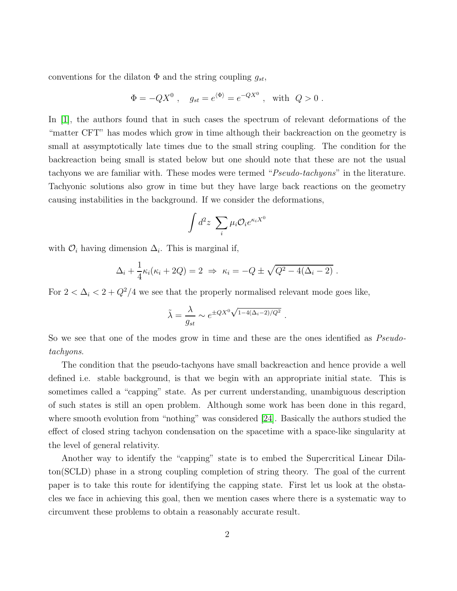conventions for the dilaton  $\Phi$  and the string coupling  $g_{st}$ ,

$$
\Phi = -QX^0 \ , \quad g_{st} = e^{\langle \Phi \rangle} = e^{-QX^0} \ , \text{ with } Q > 0 \ .
$$

In [\[1\]](#page-25-0), the authors found that in such cases the spectrum of relevant deformations of the "matter CFT" has modes which grow in time although their backreaction on the geometry is small at assymptotically late times due to the small string coupling. The condition for the backreaction being small is stated below but one should note that these are not the usual tachyons we are familiar with. These modes were termed "Pseudo-tachyons" in the literature. Tachyonic solutions also grow in time but they have large back reactions on the geometry causing instabilities in the background. If we consider the deformations,

$$
\int d^2z \sum_i \mu_i \mathcal{O}_i e^{\kappa_i X^0}
$$

with  $\mathcal{O}_i$  having dimension  $\Delta_i$ . This is marginal if,

$$
\Delta_i + \frac{1}{4} \kappa_i (\kappa_i + 2Q) = 2 \Rightarrow \kappa_i = -Q \pm \sqrt{Q^2 - 4(\Delta_i - 2)}.
$$

For  $2 < \Delta_i < 2 + Q^2/4$  we see that the properly normalised relevant mode goes like,

$$
\tilde{\lambda} = \frac{\lambda}{g_{st}} \sim e^{\pm QX^0 \sqrt{1 - 4(\Delta_i - 2)/Q^2}}.
$$

So we see that one of the modes grow in time and these are the ones identified as *Pseudo*tachyons.

The condition that the pseudo-tachyons have small backreaction and hence provide a well defined i.e. stable background, is that we begin with an appropriate initial state. This is sometimes called a "capping" state. As per current understanding, unambiguous description of such states is still an open problem. Although some work has been done in this regard, where smooth evolution from "nothing" was considered [\[24\]](#page-27-0). Basically the authors studied the effect of closed string tachyon condensation on the spacetime with a space-like singularity at the level of general relativity.

Another way to identify the "capping" state is to embed the Supercritical Linear Dilaton(SCLD) phase in a strong coupling completion of string theory. The goal of the current paper is to take this route for identifying the capping state. First let us look at the obstacles we face in achieving this goal, then we mention cases where there is a systematic way to circumvent these problems to obtain a reasonably accurate result.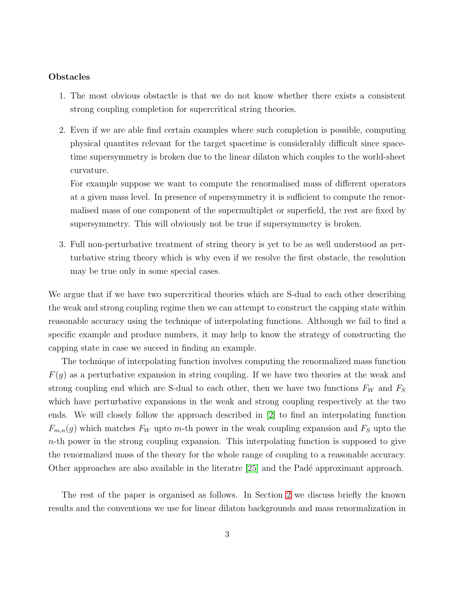#### Obstacles

- 1. The most obvious obstactle is that we do not know whether there exists a consistent strong coupling completion for supercritical string theories.
- 2. Even if we are able find certain examples where such completion is possible, computing physical quantites relevant for the target spacetime is considerably difficult since spacetime supersymmetry is broken due to the linear dilaton which couples to the world-sheet curvature.

For example suppose we want to compute the renormalised mass of different operators at a given mass level. In presence of supersymmetry it is sufficient to compute the renormalised mass of one component of the supermultiplet or superfield, the rest are fixed by supersymmetry. This will obviously not be true if supersymmetry is broken.

3. Full non-perturbative treatment of string theory is yet to be as well understood as perturbative string theory which is why even if we resolve the first obstacle, the resolution may be true only in some special cases.

We argue that if we have two supercritical theories which are S-dual to each other describing the weak and strong coupling regime then we can attempt to construct the capping state within reasonable accuracy using the technique of interpolating functions. Although we fail to find a specific example and produce numbers, it may help to know the strategy of constructing the capping state in case we suceed in finding an example.

The technique of interpolating function involves computing the renormalized mass function  $F(g)$  as a perturbative expansion in string coupling. If we have two theories at the weak and strong coupling end which are S-dual to each other, then we have two functions  $F_W$  and  $F_S$ which have perturbative expansions in the weak and strong coupling respectively at the two ends. We will closely follow the approach described in [\[2\]](#page-25-1) to find an interpolating function  $F_{m,n}(g)$  which matches  $F_W$  upto m-th power in the weak coupling expansion and  $F_S$  upto the n-th power in the strong coupling expansion. This interpolating function is supposed to give the renormalized mass of the theory for the whole range of coupling to a reasonable accuracy. Other approaches are also available in the literatre  $[25]$  and the Padé approximant approach.

The rest of the paper is organised as follows. In Section [2](#page-4-0) we discuss briefly the known results and the conventions we use for linear dilaton backgrounds and mass renormalization in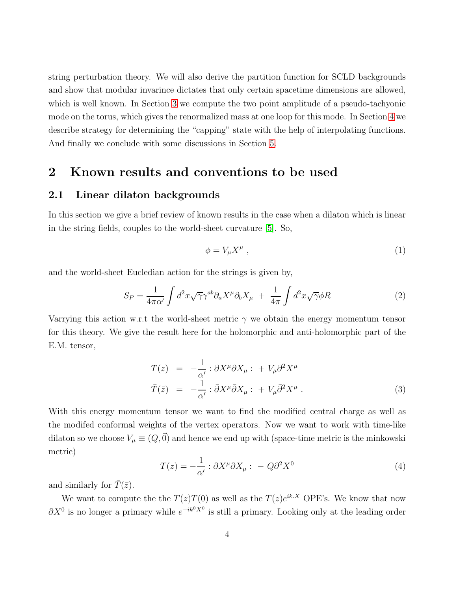string perturbation theory. We will also derive the partition function for SCLD backgrounds and show that modular invarince dictates that only certain spacetime dimensions are allowed, which is well known. In Section [3](#page-8-0) we compute the two point amplitude of a pseudo-tachyonic mode on the torus, which gives the renormalized mass at one loop for this mode. In Section [4](#page-15-0) we describe strategy for determining the "capping" state with the help of interpolating functions. And finally we conclude with some discussions in Section [5.](#page-18-0)

### <span id="page-4-1"></span><span id="page-4-0"></span>2 Known results and conventions to be used

#### 2.1 Linear dilaton backgrounds

In this section we give a brief review of known results in the case when a dilaton which is linear in the string fields, couples to the world-sheet curvature [\[5\]](#page-25-2). So,

$$
\phi = V_{\mu} X^{\mu} \tag{1}
$$

and the world-sheet Eucledian action for the strings is given by,

$$
S_P = \frac{1}{4\pi\alpha'} \int d^2x \sqrt{\gamma} \gamma^{ab} \partial_a X^\mu \partial_b X_\mu + \frac{1}{4\pi} \int d^2x \sqrt{\gamma} \phi R \tag{2}
$$

Varrying this action w.r.t the world-sheet metric  $\gamma$  we obtain the energy momentum tensor for this theory. We give the result here for the holomorphic and anti-holomorphic part of the E.M. tensor,

<span id="page-4-2"></span>
$$
T(z) = -\frac{1}{\alpha'} : \partial X^{\mu} \partial X_{\mu} : + V_{\mu} \partial^{2} X^{\mu}
$$
  

$$
\bar{T}(\bar{z}) = -\frac{1}{\alpha'} : \bar{\partial} X^{\mu} \bar{\partial} X_{\mu} : + V_{\mu} \bar{\partial}^{2} X^{\mu} .
$$
 (3)

With this energy momentum tensor we want to find the modified central charge as well as the modifed conformal weights of the vertex operators. Now we want to work with time-like dilaton so we choose  $V_{\mu} \equiv (Q, \vec{0})$  and hence we end up with (space-time metric is the minkowski metric)

$$
T(z) = -\frac{1}{\alpha'} : \partial X^{\mu} \partial X_{\mu} : -Q \partial^2 X^0 \tag{4}
$$

and similarly for  $\overline{T}(\overline{z})$ .

We want to compute the the  $T(z)T(0)$  as well as the  $T(z)e^{ik.X}$  OPE's. We know that now  $\partial X^0$  is no longer a primary while  $e^{-ik^0 X^0}$  is still a primary. Looking only at the leading order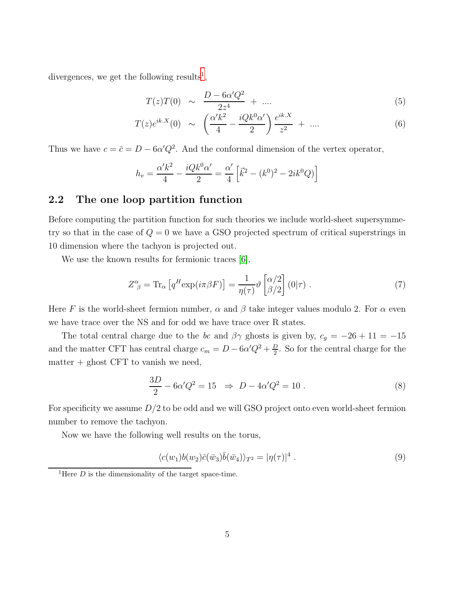divergences, we get the following results<sup>[1](#page-5-1)</sup>,

$$
T(z)T(0) \sim \frac{D - 6\alpha'Q^2}{2z^4} + \dots \tag{5}
$$

$$
T(z)e^{ik.X}(0) \sim \left(\frac{\alpha' k^2}{4} - \frac{iQk^0 \alpha'}{2}\right) \frac{e^{ik.X}}{z^2} + \dots \tag{6}
$$

Thus we have  $c = \bar{c} = D - 6\alpha'Q^2$ . And the conformal dimension of the vertex operator,

$$
h_v = \frac{\alpha' k^2}{4} - \frac{iQk^0 \alpha'}{2} = \frac{\alpha'}{4} \left[ \vec{k}^2 - (k^0)^2 - 2ik^0 Q \right]
$$

#### <span id="page-5-0"></span>2.2 The one loop partition function

Before computing the partition function for such theories we include world-sheet supersymmetry so that in the case of  $Q = 0$  we have a GSO projected spectrum of critical superstrings in 10 dimension where the tachyon is projected out.

We use the known results for fermionic traces [\[6\]](#page-25-3),

$$
Z^{\alpha}_{\ \beta} = \text{Tr}_{\alpha} \left[ q^H \exp(i\pi\beta F) \right] = \frac{1}{\eta(\tau)} \vartheta \begin{bmatrix} \alpha/2 \\ \beta/2 \end{bmatrix} (0|\tau) . \tag{7}
$$

Here F is the world-sheet fermion number,  $\alpha$  and  $\beta$  take integer values modulo 2. For  $\alpha$  even we have trace over the NS and for odd we have trace over R states.

The total central charge due to the bc and  $\beta\gamma$  ghosts is given by,  $c_g = -26 + 11 = -15$ and the matter CFT has central charge  $c_m = D - 6\alpha'Q^2 + \frac{D}{2}$  $\frac{D}{2}$ . So for the central charge for the  $matter + ghost CFT$  to vanish we need,

<span id="page-5-2"></span>
$$
\frac{3D}{2} - 6\alpha'Q^2 = 15 \Rightarrow D - 4\alpha'Q^2 = 10.
$$
 (8)

For specificity we assume  $D/2$  to be odd and we will GSO project onto even world-sheet fermion number to remove the tachyon.

Now we have the following well results on the torus,

$$
\langle c(w_1)b(w_2)\bar{c}(\bar{w}_3)\bar{b}(\bar{w}_4)\rangle_{T^2} = |\eta(\tau)|^4.
$$
\n(9)

<span id="page-5-1"></span><sup>&</sup>lt;sup>1</sup>Here *D* is the dimensionality of the target space-time.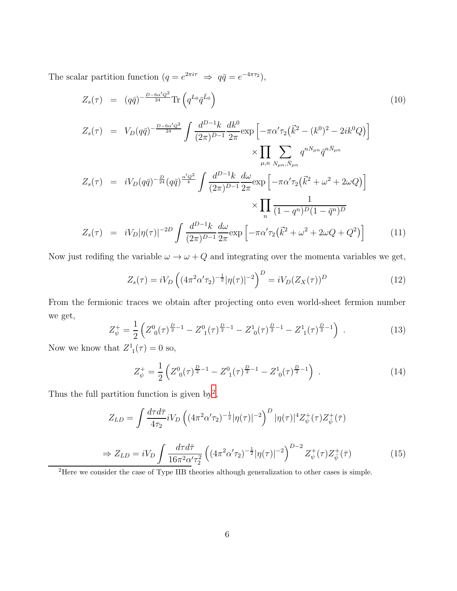The scalar partition function  $(q = e^{2\pi i \tau} \Rightarrow q\bar{q} = e^{-4\pi \tau_2}),$ 

$$
Z_s(\tau) = (q\bar{q})^{-\frac{D - 6\alpha'Q^2}{24}} \text{Tr}\left(q^{L_0}\bar{q}^{\bar{L}_0}\right) \tag{10}
$$

$$
Z_s(\tau) = V_D(q\bar{q})^{-\frac{D-6\alpha'Q^2}{24}} \int \frac{d^{D-1}k}{(2\pi)^{D-1}} \frac{dk^0}{2\pi} \exp\left[-\pi\alpha' \tau_2(\vec{k}^2 - (k^0)^2 - 2ik^0Q)\right] \times \prod_{\mu,n} \sum_{N_{\mu n},\bar{N}_{\mu n}} q^{nN_{\mu n}} \bar{q}^{n\bar{N}_{\mu n}}
$$
  

$$
Z_s(\tau) = iV_D(q\bar{q})^{-\frac{D}{24}} (q\bar{q})^{\frac{\alpha'Q^2}{4}} \int \frac{d^{D-1}k}{(2\pi)^{D-1}} \frac{d\omega}{2\pi} \exp\left[-\pi\alpha' \tau_2(\vec{k}^2 + \omega^2 + 2\omega Q)\right] \times \prod_{n} \frac{1}{(1 - q^n)^D (1 - \bar{q}^n)^D}
$$
  

$$
Z_s(\tau) = iV_D |\eta(\tau)|^{-2D} \int \frac{d^{D-1}k}{(2\pi)^{D-1}} \frac{d\omega}{2\pi} \exp\left[-\pi\alpha' \tau_2(\vec{k}^2 + \omega^2 + 2\omega Q + Q^2)\right]
$$
(11)

Now just redifing the variable  $\omega \to \omega + Q$  and integrating over the momenta variables we get,

$$
Z_s(\tau) = iV_D \left( (4\pi^2 \alpha' \tau_2)^{-\frac{1}{2}} |\eta(\tau)|^{-2} \right)^D = iV_D (Z_X(\tau))^D \tag{12}
$$

From the fermionic traces we obtain after projecting onto even world-sheet fermion number we get,

$$
Z_{\psi}^{+} = \frac{1}{2} \left( Z_{0}^{0}(\tau)^{\frac{D}{2}-1} - Z_{1}^{0}(\tau)^{\frac{D}{2}-1} - Z_{0}^{1}(\tau)^{\frac{D}{2}-1} - Z_{1}^{1}(\tau)^{\frac{D}{2}-1} \right) . \tag{13}
$$

Now we know that  $Z^1_1(\tau) = 0$  so,

$$
Z_{\psi}^{+} = \frac{1}{2} \left( Z_{0}^{0}(\tau)^{\frac{D}{2}-1} - Z_{1}^{0}(\tau)^{\frac{D}{2}-1} - Z_{0}^{1}(\tau)^{\frac{D}{2}-1} \right) . \tag{14}
$$

Thus the full partition function is given by<sup>[2](#page-6-0)</sup>,

$$
Z_{LD} = \int \frac{d\tau d\bar{\tau}}{4\tau_2} iV_D \left( (4\pi^2 \alpha' \tau_2)^{-\frac{1}{2}} |\eta(\tau)|^{-2} \right)^D |\eta(\tau)|^4 Z_{\psi}^+(\tau) Z_{\bar{\psi}}^+(\bar{\tau})
$$
  
\n
$$
\Rightarrow Z_{LD} = iV_D \int \frac{d\tau d\bar{\tau}}{16\pi^2 \alpha' \tau_2^2} \left( (4\pi^2 \alpha' \tau_2)^{-\frac{1}{2}} |\eta(\tau)|^{-2} \right)^{D-2} Z_{\psi}^+(\tau) Z_{\bar{\psi}}^+(\bar{\tau})
$$
(15)

<span id="page-6-0"></span><sup>2</sup>Here we consider the case of Type IIB theories although generalization to other cases is simple.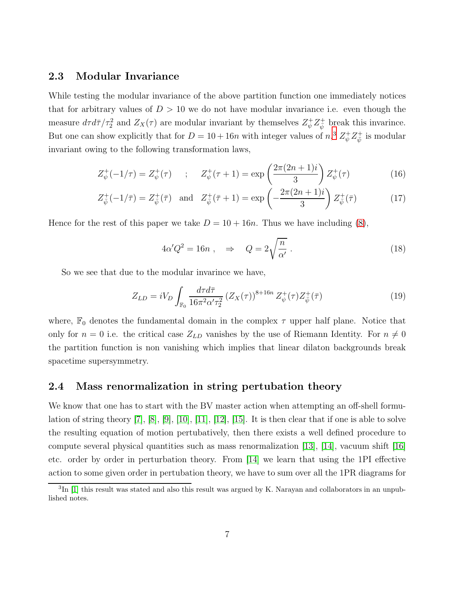#### <span id="page-7-0"></span>2.3 Modular Invariance

While testing the modular invariance of the above partition function one immediately notices that for arbitrary values of  $D > 10$  we do not have modular invariance i.e. even though the measure  $d\tau d\bar{\tau}/\tau_2^2$  and  $Z_X(\tau)$  are modular invariant by themselves  $Z_{\psi}^+ Z_{\bar{\psi}}^+$  break this invarince. But one can show explicitly that for  $D = 10 + 16n$  with integer values of  $n<sup>3</sup>, Z<sup>+</sup><sub>\psi</sub>Z<sup>+</sup><sub>\psi</sub>$  $n<sup>3</sup>, Z<sup>+</sup><sub>\psi</sub>Z<sup>+</sup><sub>\psi</sub>$  $n<sup>3</sup>, Z<sup>+</sup><sub>\psi</sub>Z<sup>+</sup><sub>\psi</sub>$  is modular invariant owing to the following transformation laws,

$$
Z_{\psi}^{+}(-1/\tau) = Z_{\psi}^{+}(\tau) \qquad ; \qquad Z_{\psi}^{+}(\tau+1) = \exp\left(\frac{2\pi(2n+1)i}{3}\right) Z_{\psi}^{+}(\tau) \tag{16}
$$

$$
Z_{\bar{\psi}}^{+}(-1/\bar{\tau}) = Z_{\bar{\psi}}^{+}(\bar{\tau}) \quad \text{and} \quad Z_{\bar{\psi}}^{+}(\bar{\tau}+1) = \exp\left(-\frac{2\pi(2n+1)i}{3}\right) Z_{\bar{\psi}}^{+}(\bar{\tau}) \tag{17}
$$

Hence for the rest of this paper we take  $D = 10 + 16n$ . Thus we have including [\(8\)](#page-5-2),

<span id="page-7-3"></span>
$$
4\alpha'Q^2 = 16n \ , \quad \Rightarrow \quad Q = 2\sqrt{\frac{n}{\alpha'}} \ . \tag{18}
$$

So we see that due to the modular invarince we have,

$$
Z_{LD} = iV_D \int_{\mathbb{F}_0} \frac{d\tau d\bar{\tau}}{16\pi^2 \alpha' \tau_2^2} (Z_X(\tau))^{8+16n} Z_{\psi}^+(\tau) Z_{\bar{\psi}}^+(\bar{\tau})
$$
(19)

where,  $\mathbb{F}_0$  denotes the fundamental domain in the complex  $\tau$  upper half plane. Notice that only for  $n = 0$  i.e. the critical case  $Z_{LD}$  vanishes by the use of Riemann Identity. For  $n \neq 0$ the partition function is non vanishing which implies that linear dilaton backgrounds break spacetime supersymmetry.

#### <span id="page-7-1"></span>2.4 Mass renormalization in string pertubation theory

We know that one has to start with the BV master action when attempting an off-shell formulation of string theory [\[7\]](#page-25-4), [\[8\]](#page-25-5), [\[9\]](#page-25-6), [\[10\]](#page-26-4), [\[11\]](#page-26-5), [\[12\]](#page-26-6), [\[15\]](#page-26-7). It is then clear that if one is able to solve the resulting equation of motion pertubatively, then there exists a well defined procedure to compute several physical quantities such as mass renormalization [\[13\]](#page-26-8), [\[14\]](#page-26-9), vacuum shift [\[16\]](#page-26-10) etc. order by order in perturbation theory. From [\[14\]](#page-26-9) we learn that using the 1PI effective action to some given order in pertubation theory, we have to sum over all the 1PR diagrams for

<span id="page-7-2"></span><sup>&</sup>lt;sup>3</sup>In [\[1\]](#page-25-0) this result was stated and also this result was argued by K. Narayan and collaborators in an unpublished notes.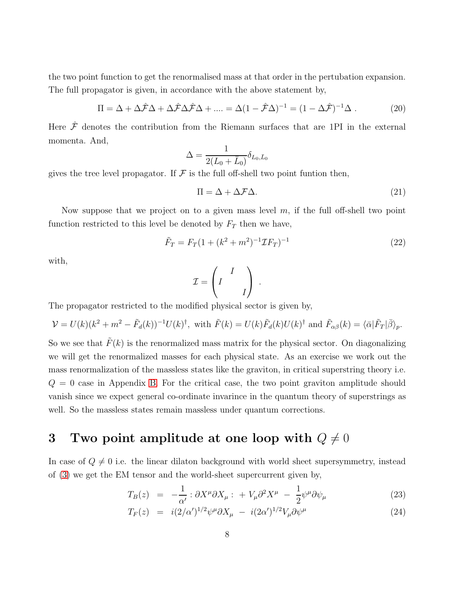the two point function to get the renormalised mass at that order in the pertubation expansion. The full propagator is given, in accordance with the above statement by,

$$
\Pi = \Delta + \Delta \hat{\mathcal{F}} \Delta + \Delta \hat{\mathcal{F}} \Delta \hat{\mathcal{F}} \Delta + \dots = \Delta (1 - \hat{\mathcal{F}} \Delta)^{-1} = (1 - \Delta \hat{\mathcal{F}})^{-1} \Delta . \tag{20}
$$

Here  $\hat{\mathcal{F}}$  denotes the contribution from the Riemann surfaces that are 1PI in the external momenta. And,

$$
\Delta = \frac{1}{2(L_0 + \bar{L}_0)} \delta_{L_0, \bar{L}_0}
$$

gives the tree level propagator. If  $\mathcal F$  is the full off-shell two point funtion then,

$$
\Pi = \Delta + \Delta \mathcal{F} \Delta. \tag{21}
$$

Now suppose that we project on to a given mass level  $m$ , if the full off-shell two point function restricted to this level be denoted by  $F_T$  then we have,

$$
\tilde{F}_T = F_T (1 + (k^2 + m^2)^{-1} \mathcal{I} F_T)^{-1}
$$
\n(22)

with,

$$
\mathcal{I} = \left(\begin{array}{cc} & I \\ I & \\ & & I \end{array}\right) \ .
$$

The propagator restricted to the modified physical sector is given by,

$$
\mathcal{V} = U(k)(k^2 + m^2 - \tilde{F}_d(k))^{-1}U(k)^{\dagger}, \text{ with } \tilde{F}(k) = U(k)\tilde{F}_d(k)U(k)^{\dagger} \text{ and } \tilde{F}_{\alpha\beta}(k) = \langle \bar{\alpha}|\tilde{F}_T|\bar{\beta}\rangle_p.
$$

So we see that  $\tilde{F}(k)$  is the renormalized mass matrix for the physical sector. On diagonalizing we will get the renormalized masses for each physical state. As an exercise we work out the mass renormalization of the massless states like the graviton, in critical superstring theory i.e.  $Q = 0$  case in Appendix [B.](#page-21-0) For the critical case, the two point graviton amplitude should vanish since we expect general co-ordinate invarince in the quantum theory of superstrings as well. So the massless states remain massless under quantum corrections.

## <span id="page-8-0"></span>3 Two point amplitude at one loop with  $Q \neq 0$

In case of  $Q \neq 0$  i.e. the linear dilaton background with world sheet supersymmetry, instead of [\(3\)](#page-4-2) we get the EM tensor and the world-sheet supercurrent given by,

$$
T_B(z) = -\frac{1}{\alpha'} : \partial X^{\mu} \partial X_{\mu} : + V_{\mu} \partial^2 X^{\mu} - \frac{1}{2} \psi^{\mu} \partial \psi_{\mu}
$$
 (23)

$$
T_F(z) = i(2/\alpha')^{1/2} \psi^{\mu} \partial X_{\mu} - i(2\alpha')^{1/2} V_{\mu} \partial \psi^{\mu}
$$
 (24)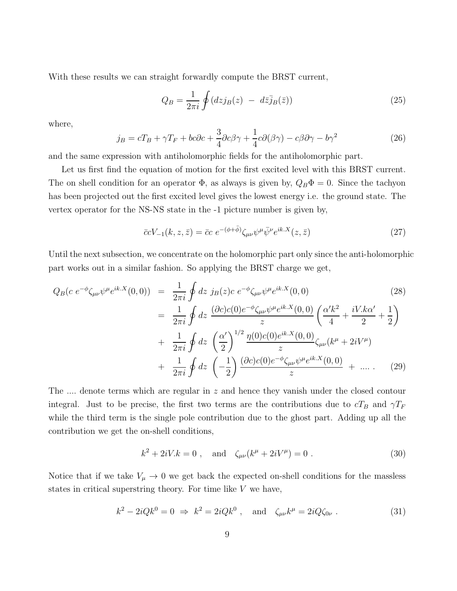With these results we can straight forwardly compute the BRST current,

$$
Q_B = \frac{1}{2\pi i} \oint (dz j_B(z) - d\bar{z} j_B(\bar{z})) \tag{25}
$$

where,

$$
j_B = cT_B + \gamma T_F + bc\partial c + \frac{3}{4}\partial c\beta\gamma + \frac{1}{4}c\partial(\beta\gamma) - c\beta\partial\gamma - b\gamma^2
$$
 (26)

and the same expression with antiholomorphic fields for the antiholomorphic part.

Let us first find the equation of motion for the first excited level with this BRST current. The on shell condition for an operator  $\Phi$ , as always is given by,  $Q_B \Phi = 0$ . Since the tachyon has been projected out the first excited level gives the lowest energy i.e. the ground state. The vertex operator for the NS-NS state in the -1 picture number is given by,

<span id="page-9-1"></span>
$$
\bar{c}cV_{-1}(k,z,\bar{z}) = \bar{c}c \ e^{-(\phi+\bar{\phi})}\zeta_{\mu\nu}\psi^{\mu}\bar{\psi}^{\nu}e^{ik.X}(z,\bar{z})\tag{27}
$$

Until the next subsection, we concentrate on the holomorphic part only since the anti-holomorphic part works out in a similar fashion. So applying the BRST charge we get,

$$
Q_B(c e^{-\phi} \zeta_{\mu\nu} \psi^{\mu} e^{ik.X}(0,0)) = \frac{1}{2\pi i} \oint dz j_B(z) c e^{-\phi} \zeta_{\mu\nu} \psi^{\mu} e^{ik.X}(0,0)
$$
(28)  

$$
= \frac{1}{2\pi i} \oint dz \frac{(\partial c)c(0)e^{-\phi} \zeta_{\mu\nu} \psi^{\mu} e^{ik.X}(0,0)}{z} \left(\frac{\alpha' k^2}{4} + \frac{iV.k\alpha'}{2} + \frac{1}{2}\right)
$$

$$
+ \frac{1}{2\pi i} \oint dz \left(\frac{\alpha'}{2}\right)^{1/2} \frac{\eta(0)c(0)e^{ik.X}(0,0)}{z} \zeta_{\mu\nu}(k^{\mu} + 2iV^{\mu})
$$

$$
+ \frac{1}{2\pi i} \oint dz \left(-\frac{1}{2}\right) \frac{(\partial c)c(0)e^{-\phi} \zeta_{\mu\nu} \psi^{\mu} e^{ik.X}(0,0)}{z} + \dots
$$
(29)

The .... denote terms which are regular in z and hence they vanish under the closed contour integral. Just to be precise, the first two terms are the contributions due to  $cT_B$  and  $\gamma T_F$ while the third term is the single pole contribution due to the ghost part. Adding up all the contribution we get the on-shell conditions,

<span id="page-9-2"></span><span id="page-9-0"></span>
$$
k^2 + 2iV.k = 0
$$
, and  $\zeta_{\mu\nu}(k^{\mu} + 2iV^{\mu}) = 0$ . (30)

Notice that if we take  $V_{\mu} \rightarrow 0$  we get back the expected on-shell conditions for the massless states in critical superstring theory. For time like  $V$  we have,

$$
k^2 - 2iQk^0 = 0 \Rightarrow k^2 = 2iQk^0
$$
, and  $\zeta_{\mu\nu}k^{\mu} = 2iQ\zeta_{0\nu}$ . (31)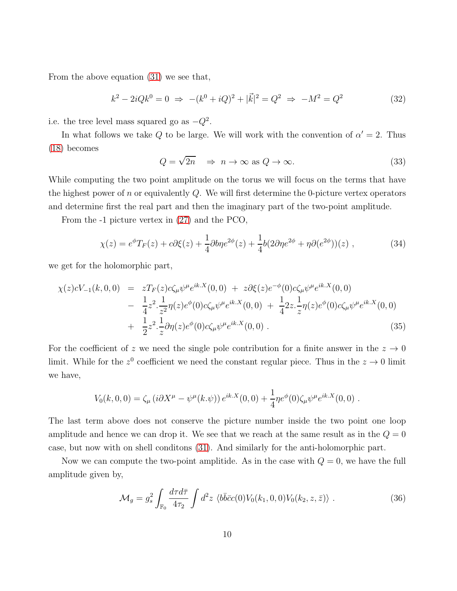From the above equation [\(31\)](#page-9-0) we see that,

<span id="page-10-0"></span>
$$
k^{2} - 2iQk^{0} = 0 \Rightarrow -(k^{0} + iQ)^{2} + |\vec{k}|^{2} = Q^{2} \Rightarrow -M^{2} = Q^{2}
$$
 (32)

i.e. the tree level mass squared go as  $-Q^2$ .

In what follows we take Q to be large. We will work with the convention of  $\alpha' = 2$ . Thus [\(18\)](#page-7-3) becomes

<span id="page-10-1"></span>
$$
Q = \sqrt{2n} \quad \Rightarrow \quad n \to \infty \text{ as } Q \to \infty. \tag{33}
$$

While computing the two point amplitude on the torus we will focus on the terms that have the highest power of n or equivalently  $Q$ . We will first determine the 0-picture vertex operators and determine first the real part and then the imaginary part of the two-point amplitude.

From the -1 picture vertex in [\(27\)](#page-9-1) and the PCO,

$$
\chi(z) = e^{\phi} T_F(z) + c \partial \xi(z) + \frac{1}{4} \partial b \eta e^{2\phi}(z) + \frac{1}{4} b (2\partial \eta e^{2\phi} + \eta \partial (e^{2\phi})) (z) , \qquad (34)
$$

we get for the holomorphic part,

$$
\chi(z)cV_{-1}(k,0,0) = zT_F(z)c\zeta_{\mu}\psi^{\mu}e^{ik.X}(0,0) + z\partial\xi(z)e^{-\phi}(0)c\zeta_{\mu}\psi^{\mu}e^{ik.X}(0,0) \n- \frac{1}{4}z^2 \cdot \frac{1}{z^2}\eta(z)e^{\phi}(0)c\zeta_{\mu}\psi^{\mu}e^{ik.X}(0,0) + \frac{1}{4}2z \cdot \frac{1}{z}\eta(z)e^{\phi}(0)c\zeta_{\mu}\psi^{\mu}e^{ik.X}(0,0) \n+ \frac{1}{2}z^2 \cdot \frac{1}{z}\partial\eta(z)e^{\phi}(0)c\zeta_{\mu}\psi^{\mu}e^{ik.X}(0,0).
$$
\n(35)

For the coefficient of z we need the single pole contribution for a finite answer in the  $z \to 0$ limit. While for the  $z^0$  coefficient we need the constant regular piece. Thus in the  $z \to 0$  limit we have,

$$
V_0(k,0,0) = \zeta_\mu (i\partial X^\mu - \psi^\mu(k,\psi)) e^{ik.X}(0,0) + \frac{1}{4} \eta e^{\phi}(0) \zeta_\mu \psi^\mu e^{ik.X}(0,0) .
$$

The last term above does not conserve the picture number inside the two point one loop amplitude and hence we can drop it. We see that we reach at the same result as in the  $Q = 0$ case, but now with on shell conditons [\(31\)](#page-9-0). And similarly for the anti-holomorphic part.

Now we can compute the two-point amplitide. As in the case with  $Q = 0$ , we have the full amplitude given by,

$$
\mathcal{M}_g = g_s^2 \int_{\mathbb{F}_0} \frac{d\tau d\bar{\tau}}{4\tau_2} \int d^2 z \, \langle b\bar{b}\bar{c}c(0)V_0(k_1,0,0)V_0(k_2,z,\bar{z})\rangle \,. \tag{36}
$$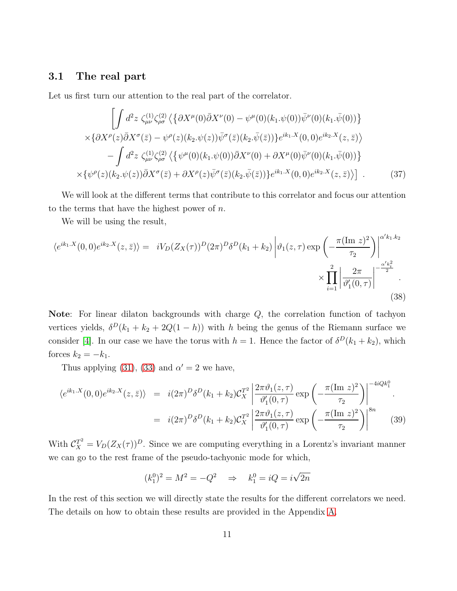#### <span id="page-11-0"></span>3.1 The real part

Let us first turn our attention to the real part of the correlator.

<span id="page-11-1"></span>
$$
\left[\int d^{2}z \; \zeta_{\mu\nu}^{(1)} \zeta_{\rho\sigma}^{(2)} \left\langle \{ \partial X^{\mu}(0) \bar{\partial} X^{\nu}(0) - \psi^{\mu}(0) (k_{1} \cdot \psi(0)) \bar{\psi}^{\nu}(0) (k_{1} \cdot \bar{\psi}(0)) \right\} \right] \times \left\{ \partial X^{\rho}(z) \bar{\partial} X^{\sigma}(\bar{z}) - \psi^{\rho}(z) (k_{2} \cdot \psi(z)) \bar{\psi}^{\sigma}(\bar{z}) (k_{2} \cdot \bar{\psi}(\bar{z})) \right\} e^{ik_{1} \cdot X}(0,0) e^{ik_{2} \cdot X}(z,\bar{z}) \right\} \\\left.- \int d^{2}z \; \zeta_{\mu\nu}^{(1)} \zeta_{\rho\sigma}^{(2)} \left\langle \{ \psi^{\mu}(0) (k_{1} \cdot \psi(0)) \bar{\partial} X^{\nu}(0) + \partial X^{\mu}(0) \bar{\psi}^{\nu}(0) (k_{1} \cdot \bar{\psi}(0)) \right\} \right. \times \left\{ \psi^{\rho}(z) (k_{2} \cdot \psi(z)) \bar{\partial} X^{\sigma}(\bar{z}) + \partial X^{\rho}(z) \bar{\psi}^{\sigma}(\bar{z}) (k_{2} \cdot \bar{\psi}(\bar{z})) \right\} e^{ik_{1} \cdot X}(0,0) e^{ik_{2} \cdot X}(z,\bar{z}) \right\} .
$$
 (37)

We will look at the different terms that contribute to this correlator and focus our attention to the terms that have the highest power of  $n$ .

We will be using the result,

$$
\langle e^{ik_1.X}(0,0)e^{ik_2.X}(z,\bar{z})\rangle = iV_D(Z_X(\tau))^D(2\pi)^D\delta^D(k_1+k_2)\left|\vartheta_1(z,\tau)\exp\left(-\frac{\pi(\text{Im }z)^2}{\tau_2}\right)\right|^{\alpha'k_1,k_2}\times\prod_{i=1}^2\left|\frac{2\pi}{\vartheta'_1(0,\tau)}\right|^{-\frac{\alpha'k_i^2}{2}}.
$$
\n(38)

Note: For linear dilaton backgrounds with charge Q, the correlation function of tachyon vertices yields,  $\delta^D(k_1 + k_2 + 2Q(1 - h))$  with h being the genus of the Riemann surface we consider [\[4\]](#page-25-7). In our case we have the torus with  $h = 1$ . Hence the factor of  $\delta^D(k_1 + k_2)$ , which forces  $k_2 = -k_1$ .

Thus applying [\(31\)](#page-9-0), [\(33\)](#page-10-0) and  $\alpha' = 2$  we have,

$$
\langle e^{ik_1.X}(0,0)e^{ik_2.X}(z,\bar{z})\rangle = i(2\pi)^D \delta^D(k_1+k_2) \mathcal{C}_X^{T^2} \left| \frac{2\pi \vartheta_1(z,\tau)}{\vartheta'_1(0,\tau)} \exp\left(-\frac{\pi (\text{Im } z)^2}{\tau_2}\right) \right|^{-4iQk_1^0}.
$$
  

$$
= i(2\pi)^D \delta^D(k_1+k_2) \mathcal{C}_X^{T^2} \left| \frac{2\pi \vartheta_1(z,\tau)}{\vartheta'_1(0,\tau)} \exp\left(-\frac{\pi (\text{Im } z)^2}{\tau_2}\right) \right|^{8n} \tag{39}
$$

With  $C_X^{\mathcal{I}^2} = V_D(Z_X(\tau))^D$ . Since we are computing everything in a Lorentz's invariant manner we can go to the rest frame of the pseudo-tachyonic mode for which,

$$
(k_1^0)^2 = M^2 = -Q^2 \implies k_1^0 = iQ = i\sqrt{2n}
$$

In the rest of this section we will directly state the results for the different correlators we need. The details on how to obtain these results are provided in the Appendix [A.](#page-19-0)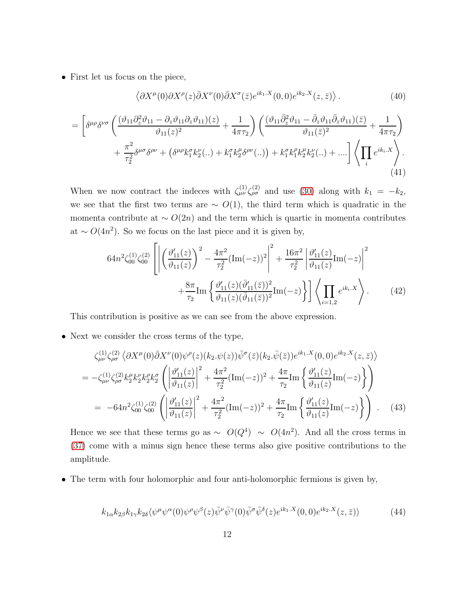• First let us focus on the piece,

$$
\langle \partial X^{\mu}(0) \partial X^{\rho}(z) \bar{\partial} X^{\nu}(0) \bar{\partial} X^{\sigma}(\bar{z}) e^{ik_1.X}(0,0) e^{ik_2.X}(z,\bar{z}) \rangle. \tag{40}
$$

$$
= \left[\delta^{\mu\rho}\delta^{\nu\sigma}\left(\frac{(\vartheta_{11}\partial_z^2\vartheta_{11}-\partial_z\vartheta_{11}\partial_z\vartheta_{11})(z)}{\vartheta_{11}(z)^2}+\frac{1}{4\pi\tau_2}\right)\left(\frac{(\vartheta_{11}\bar{\partial}_z^2\vartheta_{11}-\bar{\partial}_z\vartheta_{11}\bar{\partial}_z\vartheta_{11})(\bar{z})}{\vartheta_{11}(\bar{z})^2}+\frac{1}{4\pi\tau_2}\right) \right] + \frac{\pi^2}{\tau_2^2}\delta^{\mu\sigma}\delta^{\rho\nu}+\left(\delta^{\mu\rho}k_1^{\sigma}k_2^{\nu}(\ldots)+k_1^{\sigma}k_2^{\mu}\delta^{\rho\nu}(\ldots)\right)+k_1^{\sigma}k_1^{\rho}k_2^{\mu}k_2^{\nu}(\ldots)+\ldots\right]\left\langle\prod_i e^{ik_i.X}\right\rangle.
$$
\n(41)

When we now contract the indeces with  $\zeta_{\mu\nu}^{(1)} \zeta_{\rho\sigma}^{(2)}$  and use [\(30\)](#page-9-2) along with  $k_1 = -k_2$ , we see that the first two terms are  $\sim O(1)$ , the third term which is quadratic in the momenta contribute at  $\sim O(2n)$  and the term which is quartic in momenta contributes at  $\sim O(4n^2)$ . So we focus on the last piece and it is given by,

$$
64n^{2}\zeta_{00}^{(1)}\zeta_{00}^{(2)}\left[\left|\left(\frac{\vartheta_{11}'(z)}{\vartheta_{11}(z)}\right)^{2}-\frac{4\pi^{2}}{\tau_{2}^{2}}(\text{Im}(-z))^{2}\right|^{2}+\frac{16\pi^{2}}{\tau_{2}^{2}}\left|\frac{\vartheta_{11}'(z)}{\vartheta_{11}(z)}\text{Im}(-z)\right|^{2}\right] +\frac{8\pi}{\tau_{2}}\text{Im}\left\{\frac{\vartheta_{11}'(z)(\bar{\vartheta}_{11}'(\bar{z}))^{2}}{\vartheta_{11}(z)(\bar{\vartheta}_{11}(\bar{z}))^{2}}\text{Im}(-z)\right\}\left|\left\langle\prod_{i=1,2}e^{ik_{i}X}\right\rangle\right.\tag{42}
$$

This contribution is positive as we can see from the above expression.

• Next we consider the cross terms of the type,

$$
\zeta_{\mu\nu}^{(1)} \zeta_{\rho\sigma}^{(2)} \langle \partial X^{\mu}(0) \bar{\partial} X^{\nu}(0) \psi^{\rho}(z) (k_2 \psi(z)) \bar{\psi}^{\sigma}(\bar{z}) (k_2 \bar{\psi}(\bar{z})) e^{ik_1 \cdot X}(0,0) e^{ik_2 \cdot X}(z,\bar{z}) \rangle \n= -\zeta_{\mu\nu}^{(1)} \zeta_{\rho\sigma}^{(2)} k_2^{\mu} k_2^{\nu} k_2^{\rho} k_2^{\sigma} \left( \left| \frac{\vartheta_{11}^{\prime}(z)}{\vartheta_{11}(z)} \right|^2 + \frac{4\pi^2}{\tau_2^2} (\text{Im}(-z))^2 + \frac{4\pi}{\tau_2} \text{Im} \left\{ \frac{\vartheta_{11}^{\prime}(z)}{\vartheta_{11}(z)} \text{Im}(-z) \right\} \right) \n= -64n^2 \zeta_{00}^{(1)} \zeta_{00}^{(2)} \left( \left| \frac{\vartheta_{11}^{\prime}(z)}{\vartheta_{11}(z)} \right|^2 + \frac{4\pi^2}{\tau_2^2} (\text{Im}(-z))^2 + \frac{4\pi}{\tau_2} \text{Im} \left\{ \frac{\vartheta_{11}^{\prime}(z)}{\vartheta_{11}(z)} \text{Im}(-z) \right\} \right) . \quad (43)
$$

Hence we see that these terms go as  $\sim O(Q^4) \sim O(4n^2)$ . And all the cross terms in [\(37\)](#page-11-1) come with a minus sign hence these terms also give positive contributions to the amplitude.

• The term with four holomorphic and four anti-holomorphic fermions is given by,

$$
k_{1\alpha}k_{2\beta}k_{1\gamma}k_{2\delta}\langle\psi^{\mu}\psi^{\alpha}(0)\psi^{\rho}\psi^{\beta}(z)\bar{\psi}^{\nu}\bar{\psi}^{\gamma}(0)\bar{\psi}^{\sigma}\bar{\psi}^{\delta}(z)e^{ik_{1}.X}(0,0)e^{ik_{2}.X}(z,\bar{z})\rangle
$$
(44)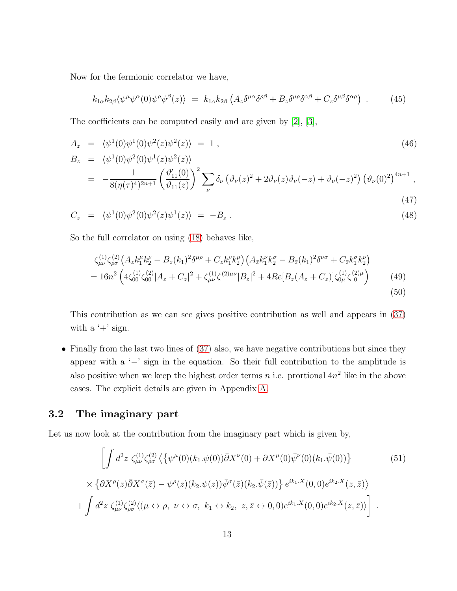Now for the fermionic correlator we have,

<span id="page-13-2"></span>
$$
k_{1\alpha}k_{2\beta}\langle\psi^{\mu}\psi^{\alpha}(0)\psi^{\rho}\psi^{\beta}(z)\rangle = k_{1\alpha}k_{2\beta}\left(A_{z}\delta^{\mu\alpha}\delta^{\rho\beta} + B_{z}\delta^{\mu\rho}\delta^{\alpha\beta} + C_{z}\delta^{\mu\beta}\delta^{\alpha\rho}\right) . \tag{45}
$$

The coefficients can be computed easily and are given by [\[2\]](#page-25-1), [\[3\]](#page-25-8),

$$
A_z = \langle \psi^1(0)\psi^1(0)\psi^2(z)\psi^2(z) \rangle = 1 , \qquad (46)
$$

$$
B_z = \langle \psi^1(0) \psi^2(0) \psi^1(z) \psi^2(z) \rangle
$$
  
= 
$$
-\frac{1}{8(\eta(\tau)^4)^{2n+1}} \left( \frac{\vartheta'_{11}(0)}{\vartheta_{11}(z)} \right)^2 \sum_{\nu} \delta_{\nu} (\vartheta_{\nu}(z)^2 + 2\vartheta_{\nu}(z) \vartheta_{\nu}(-z) + \vartheta_{\nu}(-z)^2) (\vartheta_{\nu}(0)^2)^{4n+1},
$$
  
(47)

$$
C_z = \langle \psi^1(0)\psi^2(0)\psi^2(z)\psi^1(z)\rangle = -B_z . \qquad (48)
$$

So the full correlator on using [\(18\)](#page-7-3) behaves like,

$$
\zeta_{\mu\nu}^{(1)} \zeta_{\rho\sigma}^{(2)} \left( A_z k_1^{\mu} k_2^{\rho} - B_z (k_1)^2 \delta^{\mu\rho} + C_z k_1^{\rho} k_2^{\mu} \right) \left( A_{\bar{z}} k_1^{\nu} k_2^{\sigma} - B_{\bar{z}} (k_1)^2 \delta^{\nu\sigma} + C_{\bar{z}} k_1^{\sigma} k_2^{\nu} \right) \n= 16n^2 \left( 4 \zeta_{00}^{(1)} \zeta_{00}^{(2)} |A_z + C_z|^2 + \zeta_{\mu\nu}^{(1)} \zeta_{\mu\nu}^{(2)\mu\nu} |B_z|^2 + 4Re[B_z (A_z + C_z)] \zeta_{0\mu}^{(1)} \zeta_{0}^{(2)\mu} \right) \tag{49}
$$
\n
$$
(50)
$$

This contribution as we can see gives positive contribution as well and appears in [\(37\)](#page-11-1) with a  $'$ +' sign.

• Finally from the last two lines of [\(37\)](#page-11-1) also, we have negative contributions but since they appear with a '−' sign in the equation. So their full contribution to the amplitude is also positive when we keep the highest order terms n i.e. prortional  $4n^2$  like in the above cases. The explicit details are given in Appendix [A.](#page-19-0)

### <span id="page-13-0"></span>3.2 The imaginary part

Let us now look at the contribution from the imaginary part which is given by,

<span id="page-13-1"></span>
$$
\left[\int d^2z \zeta_{\mu\nu}^{(1)}\zeta_{\rho\sigma}^{(2)} \left\langle \left\{ \psi^{\mu}(0)(k_1.\psi(0))\bar{\partial}X^{\nu}(0) + \partial X^{\mu}(0)\bar{\psi}^{\nu}(0)(k_1.\bar{\psi}(0)) \right\} \right. \right. \left. \left. \left(51\right) \right.
$$
\n
$$
\times \left\{ \partial X^{\rho}(z)\bar{\partial}X^{\sigma}(\bar{z}) - \psi^{\rho}(z)(k_2.\psi(z))\bar{\psi}^{\sigma}(\bar{z})(k_2.\bar{\psi}(\bar{z})) \right\} e^{ik_1.X}(0,0)e^{ik_2.X}(z,\bar{z}) \right\}
$$
\n
$$
+ \int d^2z \zeta_{\mu\nu}^{(1)}\zeta_{\rho\sigma}^{(2)} \langle (\mu \leftrightarrow \rho, \ \nu \leftrightarrow \sigma, \ k_1 \leftrightarrow k_2, \ z, \bar{z} \leftrightarrow 0,0)e^{ik_1.X}(0,0)e^{ik_2.X}(z,\bar{z}) \rangle \right].
$$
\n(51)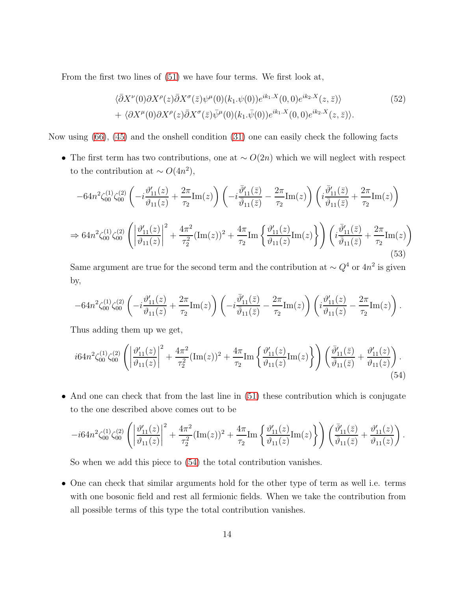From the first two lines of [\(51\)](#page-13-1) we have four terms. We first look at,

$$
\langle \bar{\partial}X^{\nu}(0)\partial X^{\rho}(z)\bar{\partial}X^{\sigma}(\bar{z})\psi^{\mu}(0)(k_1.\psi(0))e^{ik_1.X}(0,0)e^{ik_2.X}(z,\bar{z})\rangle
$$
  
+ 
$$
\langle \partial X^{\mu}(0)\partial X^{\rho}(z)\bar{\partial}X^{\sigma}(\bar{z})\bar{\psi}^{\mu}(0)(k_1.\bar{\psi}(0))e^{ik_1.X}(0,0)e^{ik_2.X}(z,\bar{z})\rangle.
$$
 (52)

Now using [\(66\)](#page-20-0), [\(45\)](#page-13-2) and the onshell condition [\(31\)](#page-9-0) one can easily check the following facts

• The first term has two contributions, one at  $\sim O(2n)$  which we will neglect with respect to the contribution at  $\sim O(4n^2)$ ,

$$
-64n^{2}\zeta_{00}^{(1)}\zeta_{00}^{(2)}\left(-i\frac{\vartheta_{11}'(z)}{\vartheta_{11}(z)} + \frac{2\pi}{\tau_{2}}\text{Im}(z)\right)\left(-i\frac{\bar{\vartheta}_{11}'(\bar{z})}{\bar{\vartheta}_{11}(\bar{z})} - \frac{2\pi}{\tau_{2}}\text{Im}(z)\right)\left(i\frac{\bar{\vartheta}_{11}'(\bar{z})}{\bar{\vartheta}_{11}(\bar{z})} + \frac{2\pi}{\tau_{2}}\text{Im}(z)\right)
$$
  
\n
$$
\Rightarrow 64n^{2}\zeta_{00}^{(1)}\zeta_{00}^{(2)}\left(\left|\frac{\vartheta_{11}'(z)}{\vartheta_{11}(z)}\right|^{2} + \frac{4\pi^{2}}{\tau_{2}^{2}}(\text{Im}(z))^{2} + \frac{4\pi}{\tau_{2}}\text{Im}\left\{\frac{\vartheta_{11}'(z)}{\vartheta_{11}(z)}\text{Im}(z)\right\}\right)\left(i\frac{\bar{\vartheta}_{11}'(\bar{z})}{\bar{\vartheta}_{11}(\bar{z})} + \frac{2\pi}{\tau_{2}}\text{Im}(z)\right)
$$
\n(53)

Same argument are true for the second term and the contribution at  $\sim Q^4$  or  $4n^2$  is given by,

$$
-64n^2\zeta_{00}^{(1)}\zeta_{00}^{(2)}\left(-i\frac{\vartheta_{11}'(z)}{\vartheta_{11}(z)}+\frac{2\pi}{\tau_2}\mathrm{Im}(z)\right)\left(-i\frac{\bar{\vartheta}_{11}'(\bar{z})}{\bar{\vartheta}_{11}(\bar{z})}-\frac{2\pi}{\tau_2}\mathrm{Im}(z)\right)\left(i\frac{\vartheta_{11}'(z)}{\vartheta_{11}(z)}-\frac{2\pi}{\tau_2}\mathrm{Im}(z)\right).
$$

Thus adding them up we get,

<span id="page-14-0"></span>
$$
i64n^{2}\zeta_{00}^{(1)}\zeta_{00}^{(2)}\left(\left|\frac{\vartheta_{11}'(z)}{\vartheta_{11}(z)}\right|^{2}+\frac{4\pi^{2}}{\tau_{2}^{2}}(\text{Im}(z))^{2}+\frac{4\pi}{\tau_{2}}\text{Im}\left\{\frac{\vartheta_{11}'(z)}{\vartheta_{11}(z)}\text{Im}(z)\right\}\right)\left(\frac{\bar{\vartheta}_{11}'(\bar{z})}{\bar{\vartheta}_{11}(\bar{z})}+\frac{\vartheta_{11}'(z)}{\vartheta_{11}(z)}\right). \tag{54}
$$

• And one can check that from the last line in [\(51\)](#page-13-1) these contribution which is conjugate to the one described above comes out to be

$$
-i64n^2\zeta_{00}^{(1)}\zeta_{00}^{(2)}\left(\left|\frac{\vartheta_{11}'(z)}{\vartheta_{11}(z)}\right|^2+\frac{4\pi^2}{\tau_2^2}(\text{Im}(z))^2+\frac{4\pi}{\tau_2}\text{Im}\left\{\frac{\vartheta_{11}'(z)}{\vartheta_{11}(z)}\text{Im}(z)\right\}\right)\left(\frac{\bar{\vartheta}_{11}'(\bar{z})}{\bar{\vartheta}_{11}(\bar{z})}+\frac{\vartheta_{11}'(z)}{\vartheta_{11}(z)}\right).
$$

So when we add this piece to [\(54\)](#page-14-0) the total contribution vanishes.

• One can check that similar arguments hold for the other type of term as well i.e. terms with one bosonic field and rest all fermionic fields. When we take the contribution from all possible terms of this type the total contribution vanishes.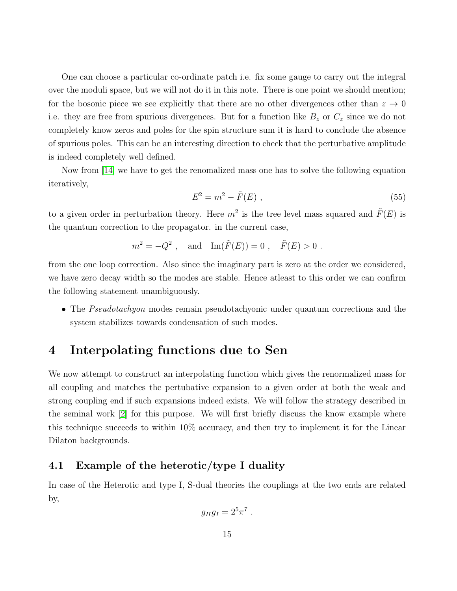One can choose a particular co-ordinate patch i.e. fix some gauge to carry out the integral over the moduli space, but we will not do it in this note. There is one point we should mention; for the bosonic piece we see explicitly that there are no other divergences other than  $z \to 0$ i.e. they are free from spurious divergences. But for a function like  $B<sub>z</sub>$  or  $C<sub>z</sub>$  since we do not completely know zeros and poles for the spin structure sum it is hard to conclude the absence of spurious poles. This can be an interesting direction to check that the perturbative amplitude is indeed completely well defined.

Now from [\[14\]](#page-26-9) we have to get the renomalized mass one has to solve the following equation iteratively,

$$
E^2 = m^2 - \tilde{F}(E) \tag{55}
$$

to a given order in perturbation theory. Here  $m^2$  is the tree level mass squared and  $\tilde{F}(E)$  is the quantum correction to the propagator. in the current case,

$$
m^2 = -Q^2
$$
, and  $\text{Im}(\tilde{F}(E)) = 0$ ,  $\tilde{F}(E) > 0$ .

from the one loop correction. Also since the imaginary part is zero at the order we considered, we have zero decay width so the modes are stable. Hence atleast to this order we can confirm the following statement unambiguously.

• The Pseudotachyon modes remain pseudotachyonic under quantum corrections and the system stabilizes towards condensation of such modes.

## <span id="page-15-0"></span>4 Interpolating functions due to Sen

We now attempt to construct an interpolating function which gives the renormalized mass for all coupling and matches the pertubative expansion to a given order at both the weak and strong coupling end if such expansions indeed exists. We will follow the strategy described in the seminal work [\[2\]](#page-25-1) for this purpose. We will first briefly discuss the know example where this technique succeeds to within 10% accuracy, and then try to implement it for the Linear Dilaton backgrounds.

### <span id="page-15-1"></span>4.1 Example of the heterotic/type I duality

In case of the Heterotic and type I, S-dual theories the couplings at the two ends are related by,

$$
g_H g_I = 2^5 \pi^7.
$$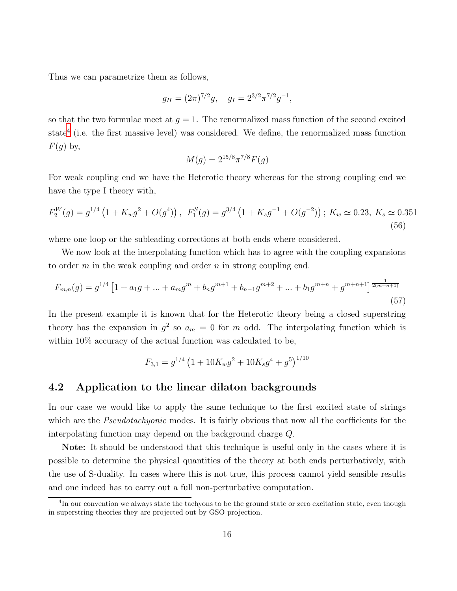Thus we can parametrize them as follows,

$$
g_H = (2\pi)^{7/2}g
$$
,  $g_I = 2^{3/2}\pi^{7/2}g^{-1}$ ,

so that the two formulae meet at  $g = 1$ . The renormalized mass function of the second excited state<sup>[4](#page-16-1)</sup> (i.e. the first massive level) was considered. We define, the renormalized mass function  $F(g)$  by,

$$
M(g) = 2^{15/8} \pi^{7/8} F(g)
$$

For weak coupling end we have the Heterotic theory whereas for the strong coupling end we have the type I theory with,

$$
F_2^W(g) = g^{1/4} \left( 1 + K_w g^2 + O(g^4) \right), \ F_1^S(g) = g^{3/4} \left( 1 + K_s g^{-1} + O(g^{-2}) \right); \ K_w \simeq 0.23, \ K_s \simeq 0.351
$$
\n
$$
(56)
$$

where one loop or the subleading corrections at both ends where considered.

We now look at the interpolating function which has to agree with the coupling expansions to order  $m$  in the weak coupling and order  $n$  in strong coupling end.

$$
F_{m,n}(g) = g^{1/4} \left[ 1 + a_1 g + \dots + a_m g^m + b_n g^{m+1} + b_{n-1} g^{m+2} + \dots + b_1 g^{m+n} + g^{m+n+1} \right] \frac{1}{2(m+n+1)} \tag{57}
$$

In the present example it is known that for the Heterotic theory being a closed superstring theory has the expansion in  $g^2$  so  $a_m = 0$  for m odd. The interpolating function which is within 10% accuracy of the actual function was calculated to be,

$$
F_{3,1} = g^{1/4} \left( 1 + 10K_w g^2 + 10K_s g^4 + g^5 \right)^{1/10}
$$

#### <span id="page-16-0"></span>4.2 Application to the linear dilaton backgrounds

In our case we would like to apply the same technique to the first excited state of strings which are the *Pseudotachyonic* modes. It is fairly obvious that now all the coefficients for the interpolating function may depend on the background charge Q.

Note: It should be understood that this technique is useful only in the cases where it is possible to determine the physical quantities of the theory at both ends perturbatively, with the use of S-duality. In cases where this is not true, this process cannot yield sensible results and one indeed has to carry out a full non-perturbative computation.

<span id="page-16-1"></span><sup>&</sup>lt;sup>4</sup>In our convention we always state the tachyons to be the ground state or zero excitation state, even though in superstring theories they are projected out by GSO projection.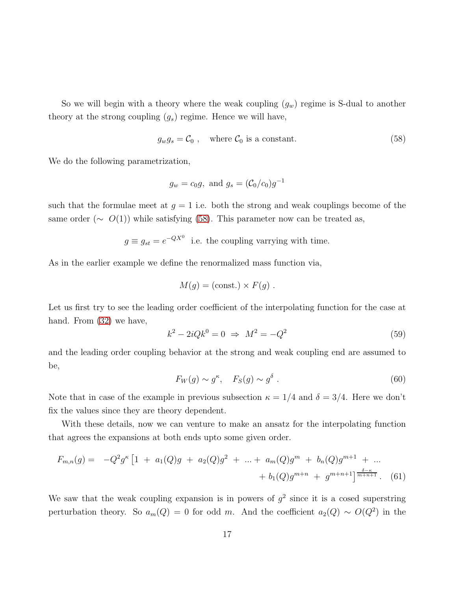So we will begin with a theory where the weak coupling  $(g_w)$  regime is S-dual to another theory at the strong coupling  $(g_s)$  regime. Hence we will have,

<span id="page-17-0"></span>
$$
g_w g_s = C_0 , \quad \text{where } C_0 \text{ is a constant.} \tag{58}
$$

We do the following parametrization,

$$
g_w = c_0 g
$$
, and  $g_s = (\mathcal{C}_0/c_0)g^{-1}$ 

such that the formulae meet at  $g = 1$  i.e. both the strong and weak couplings become of the same order ( $\sim O(1)$ ) while satisfying [\(58\)](#page-17-0). This parameter now can be treated as,

$$
g \equiv g_{st} = e^{-QX^0}
$$
 i.e. the coupling varying with time.

As in the earlier example we define the renormalized mass function via,

$$
M(g) = (const.) \times F(g) .
$$

Let us first try to see the leading order coefficient of the interpolating function for the case at hand. From  $(32)$  we have,

$$
k^2 - 2iQk^0 = 0 \Rightarrow M^2 = -Q^2 \tag{59}
$$

and the leading order coupling behavior at the strong and weak coupling end are assumed to be,

$$
F_W(g) \sim g^{\kappa}, \quad F_S(g) \sim g^{\delta} \ . \tag{60}
$$

Note that in case of the example in previous subsection  $\kappa = 1/4$  and  $\delta = 3/4$ . Here we don't fix the values since they are theory dependent.

With these details, now we can venture to make an ansatz for the interpolating function that agrees the expansions at both ends upto some given order.

$$
F_{m,n}(g) = -Q^2 g^{\kappa} \left[ 1 + a_1(Q)g + a_2(Q)g^2 + \dots + a_m(Q)g^m + b_n(Q)g^{m+1} + \dots + b_1(Q)g^{m+n} + g^{m+n+1} \right] \frac{\delta - \kappa}{m+n+1}.
$$
 (61)

We saw that the weak coupling expansion is in powers of  $g^2$  since it is a cosed superstring perturbation theory. So  $a_m(Q) = 0$  for odd m. And the coefficient  $a_2(Q) \sim O(Q^2)$  in the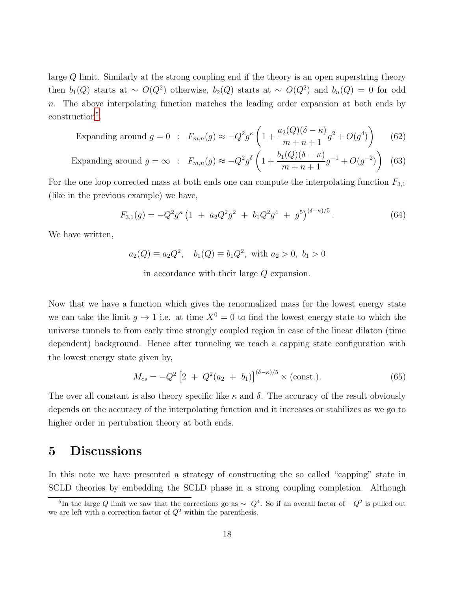large Q limit. Similarly at the strong coupling end if the theory is an open superstring theory then  $b_1(Q)$  starts at ~  $O(Q^2)$  otherwise,  $b_2(Q)$  starts at ~  $O(Q^2)$  and  $b_n(Q) = 0$  for odd n. The above interpolating function matches the leading order expansion at both ends by construction<sup>[5](#page-18-1)</sup>.

Expanding around 
$$
g = 0
$$
:  $F_{m,n}(g) \approx -Q^2 g^{\kappa} \left( 1 + \frac{a_2(Q)(\delta - \kappa)}{m + n + 1} g^2 + O(g^4) \right)$  (62)

Expanding around 
$$
g = \infty
$$
:  $F_{m,n}(g) \approx -Q^2 g^{\delta} \left( 1 + \frac{b_1(Q)(\delta - \kappa)}{m + n + 1} g^{-1} + O(g^{-2}) \right)$  (63)

For the one loop corrected mass at both ends one can compute the interpolating function  $F_{3,1}$ (like in the previous example) we have,

$$
F_{3,1}(g) = -Q^2 g^{\kappa} \left( 1 + a_2 Q^2 g^2 + b_1 Q^2 g^4 + g^5 \right)^{(\delta - \kappa)/5}.
$$
 (64)

We have written,

$$
a_2(Q) \equiv a_2 Q^2
$$
,  $b_1(Q) \equiv b_1 Q^2$ , with  $a_2 > 0$ ,  $b_1 > 0$ 

in accordance with their large Q expansion.

Now that we have a function which gives the renormalized mass for the lowest energy state we can take the limit  $g \to 1$  i.e. at time  $X^0 = 0$  to find the lowest energy state to which the universe tunnels to from early time strongly coupled region in case of the linear dilaton (time dependent) background. Hence after tunneling we reach a capping state configuration with the lowest energy state given by,

$$
M_{cs} = -Q^2 \left[ 2 + Q^2 (a_2 + b_1) \right]^{(\delta - \kappa)/5} \times \text{(const.)}.
$$
 (65)

The over all constant is also theory specific like  $\kappa$  and  $\delta$ . The accuracy of the result obviously depends on the accuracy of the interpolating function and it increases or stabilizes as we go to higher order in pertubation theory at both ends.

### <span id="page-18-0"></span>5 Discussions

In this note we have presented a strategy of constructing the so called "capping" state in SCLD theories by embedding the SCLD phase in a strong coupling completion. Although

<span id="page-18-1"></span><sup>&</sup>lt;sup>5</sup>In the large Q limit we saw that the corrections go as  $\sim Q^4$ . So if an overall factor of  $-Q^2$  is pulled out we are left with a correction factor of  $Q^2$  within the parenthesis.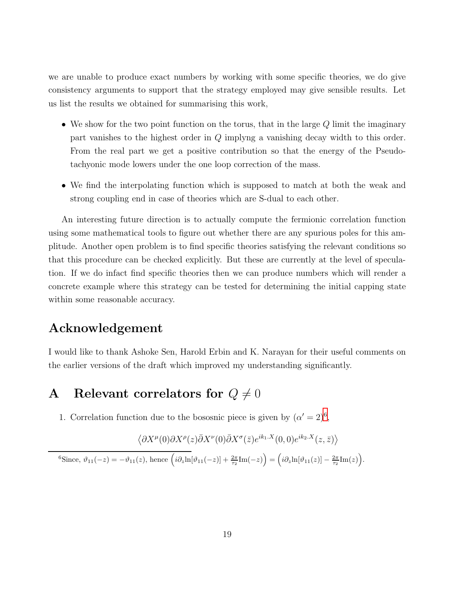we are unable to produce exact numbers by working with some specific theories, we do give consistency arguments to support that the strategy employed may give sensible results. Let us list the results we obtained for summarising this work,

- We show for the two point function on the torus, that in the large  $Q$  limit the imaginary part vanishes to the highest order in Q implyng a vanishing decay width to this order. From the real part we get a positive contribution so that the energy of the Pseudotachyonic mode lowers under the one loop correction of the mass.
- We find the interpolating function which is supposed to match at both the weak and strong coupling end in case of theories which are S-dual to each other.

An interesting future direction is to actually compute the fermionic correlation function using some mathematical tools to figure out whether there are any spurious poles for this amplitude. Another open problem is to find specific theories satisfying the relevant conditions so that this procedure can be checked explicitly. But these are currently at the level of speculation. If we do infact find specific theories then we can produce numbers which will render a concrete example where this strategy can be tested for determining the initial capping state within some reasonable accuracy.

## Acknowledgement

I would like to thank Ashoke Sen, Harold Erbin and K. Narayan for their useful comments on the earlier versions of the draft which improved my understanding significantly.

## <span id="page-19-0"></span>A Relevant correlators for  $Q \neq 0$

1. Correlation function due to the bososnic piece is given by  $(\alpha' = 2)^6$  $(\alpha' = 2)^6$ ,

$$
\left\langle \partial X^{\mu}(0) \partial X^{\rho}(z) \bar{\partial} X^{\nu}(0) \bar{\partial} X^{\sigma}(\bar{z}) e^{ik_1.X}(0,0) e^{ik_2.X}(z,\bar{z}) \right\rangle
$$

<span id="page-19-1"></span> ${}^6 \text{Since, } \vartheta_{11}(-z) = -\vartheta_{11}(z), \text{ hence } \left( i \partial_z \ln[\vartheta_{11}(-z)] + \frac{2\pi}{\tau_2} \text{Im}(-z) \right) = \left( i \partial_z \ln[\vartheta_{11}(z)] - \frac{2\pi}{\tau_2} \text{Im}(z) \right).$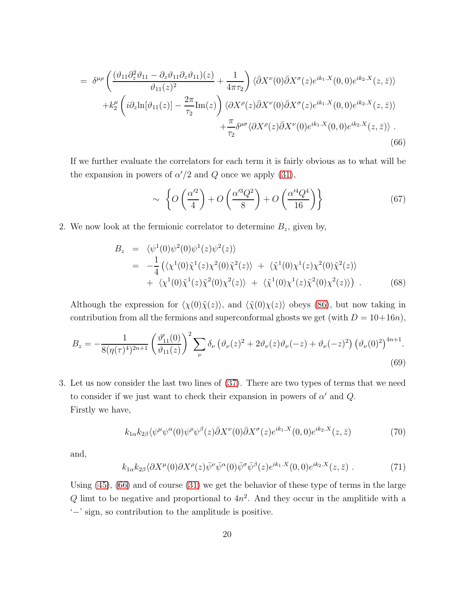$$
= \delta^{\mu\rho} \left( \frac{(\vartheta_{11}\partial_z^2 \vartheta_{11} - \partial_z \vartheta_{11}\partial_z \vartheta_{11})(z)}{\vartheta_{11}(z)^2} + \frac{1}{4\pi\tau_2} \right) \langle \bar{\partial}X^{\nu}(0)\bar{\partial}X^{\sigma}(z)e^{ik_1.X}(0,0)e^{ik_2.X}(z,\bar{z}) \rangle + k_2^{\mu} \left( i\partial_z \ln[\vartheta_{11}(z)] - \frac{2\pi}{\tau_2} \text{Im}(z) \right) \langle \partial X^{\rho}(z)\bar{\partial}X^{\nu}(0)\bar{\partial}X^{\sigma}(z)e^{ik_1.X}(0,0)e^{ik_2.X}(z,\bar{z}) \rangle + \frac{\pi}{\tau_2} \delta^{\mu\sigma} \langle \partial X^{\rho}(z)\bar{\partial}X^{\nu}(0)e^{ik_1.X}(0,0)e^{ik_2.X}(z,\bar{z}) \rangle . \tag{66}
$$

If we further evaluate the correlators for each term it is fairly obvious as to what will be the expansion in powers of  $\alpha'/2$  and Q once we apply [\(31\)](#page-9-0),

<span id="page-20-0"></span>
$$
\sim \left\{ O\left(\frac{\alpha'^2}{4}\right) + O\left(\frac{\alpha'^3 Q^2}{8}\right) + O\left(\frac{\alpha'^4 Q^4}{16}\right) \right\} \tag{67}
$$

2. We now look at the fermionic correlator to determine  $B_z$ , given by,

$$
B_z = \langle \psi^1(0)\psi^2(0)\psi^1(z)\psi^2(z) \rangle = -\frac{1}{4} \langle \langle \chi^1(0)\tilde{\chi}^1(z)\chi^2(0)\tilde{\chi}^2(z) \rangle + \langle \tilde{\chi}^1(0)\chi^1(z)\chi^2(0)\tilde{\chi}^2(z) \rangle + \langle \chi^1(0)\tilde{\chi}^1(z)\tilde{\chi}^2(0)\chi^2(z) \rangle + \langle \tilde{\chi}^1(0)\chi^1(z)\tilde{\chi}^2(0)\chi^2(z) \rangle
$$
 (68)

Although the expression for  $\langle \chi(0)\tilde{\chi}(z)\rangle$ , and  $\langle \tilde{\chi}(0)\chi(z)\rangle$  obeys [\(86\)](#page-23-0), but now taking in contribution from all the fermions and superconformal ghosts we get (with  $D = 10+16n$ ),

$$
B_z = -\frac{1}{8(\eta(\tau)^4)^{2n+1}} \left(\frac{\vartheta_{11}'(0)}{\vartheta_{11}(z)}\right)^2 \sum_{\nu} \delta_{\nu} \left(\vartheta_{\nu}(z)^2 + 2\vartheta_{\nu}(z)\vartheta_{\nu}(-z) + \vartheta_{\nu}(-z)^2\right) \left(\vartheta_{\nu}(0)^2\right)^{4n+1}.
$$
\n(69)

3. Let us now consider the last two lines of [\(37\)](#page-11-1). There are two types of terms that we need to consider if we just want to check their expansion in powers of  $\alpha'$  and  $Q$ . Firstly we have,

$$
k_{1\alpha}k_{2\beta}\langle\psi^{\mu}\psi^{\alpha}(0)\psi^{\rho}\psi^{\beta}(z)\bar{\partial}X^{\nu}(0)\bar{\partial}X^{\sigma}(z)e^{ik_{1}.X}(0,0)e^{ik_{2}.X}(z,\bar{z})
$$
\n
$$
\tag{70}
$$

and,

$$
k_{1\alpha}k_{2\beta}\langle\partial X^{\mu}(0)\partial X^{\rho}(z)\bar{\psi}^{\nu}\bar{\psi}^{\alpha}(0)\bar{\psi}^{\sigma}\bar{\psi}^{\beta}(z)e^{ik_{1}.X}(0,0)e^{ik_{2}.X}(z,\bar{z})\ .\tag{71}
$$

Using [\(45\)](#page-13-2), [\(66\)](#page-20-0) and of course [\(31\)](#page-9-0) we get the behavior of these type of terms in the large Q limt to be negative and proportional to  $4n^2$ . And they occur in the amplitide with a '−' sign, so contribution to the amplitude is positive.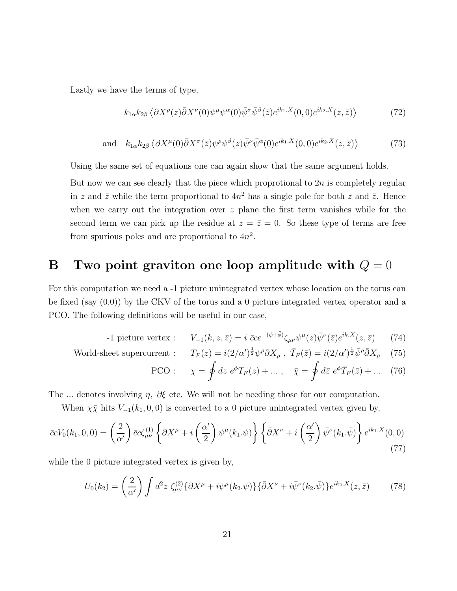Lastly we have the terms of type,

$$
k_{1\alpha}k_{2\beta}\langle\partial X^{\rho}(z)\bar{\partial}X^{\nu}(0)\psi^{\mu}\psi^{\alpha}(0)\bar{\psi}^{\sigma}\bar{\psi}^{\beta}(\bar{z})e^{ik_{1}.X}(0,0)e^{ik_{2}.X}(z,\bar{z})\rangle\tag{72}
$$

and 
$$
k_{1\alpha}k_{2\beta}\langle \partial X^{\mu}(0)\overline{\partial}X^{\sigma}(\overline{z})\psi^{\rho}\psi^{\beta}(z)\overline{\psi}^{\nu}\overline{\psi}^{\alpha}(0)e^{ik_{1}.X}(0,0)e^{ik_{2}.X}(z,\overline{z})\rangle
$$
 (73)

Using the same set of equations one can again show that the same argument holds.

But now we can see clearly that the piece which proprotional to  $2n$  is completely regular in z and  $\bar{z}$  while the term proportional to  $4n^2$  has a single pole for both z and  $\bar{z}$ . Hence when we carry out the integration over  $z$  plane the first term vanishes while for the second term we can pick up the residue at  $z = \bar{z} = 0$ . So these type of terms are free from spurious poles and are proportional to  $4n^2$ .

## <span id="page-21-0"></span>B Two point graviton one loop amplitude with  $Q = 0$

For this computation we need a -1 picture unintegrated vertex whose location on the torus can be fixed (say  $(0,0)$ ) by the CKV of the torus and a 0 picture integrated vertex operator and a PCO. The following definitions will be useful in our case,

-1 picture vertex : 
$$
V_{-1}(k, z, \bar{z}) = i \bar{c}ce^{-(\phi + \bar{\phi})} \zeta_{\mu\nu} \psi^{\mu}(z) \bar{\psi}^{\nu}(\bar{z}) e^{ik.X}(z, \bar{z})
$$
 (74)

World-sheet supercurrent : 
$$
T_F(z) = i(2/\alpha')^{\frac{1}{2}} \psi^{\rho} \partial X_{\rho}
$$
,  $\bar{T}_F(\bar{z}) = i(2/\alpha')^{\frac{1}{2}} \bar{\psi}^{\rho} \bar{\partial} X_{\rho}$  (75)

$$
\text{PCO}: \qquad \chi = \oint dz \ e^{\phi} T_F(z) + \dots \,, \quad \bar{\chi} = \oint d\bar{z} \ e^{\bar{\phi}} \bar{T}_F(\bar{z}) + \dots \quad (76)
$$

The ... denotes involving  $\eta$ ,  $\partial \xi$  etc. We will not be needing those for our computation.

When  $\chi \bar{\chi}$  hits  $V_{-1}(k_1, 0, 0)$  is converted to a 0 picture unintegrated vertex given by,

$$
\bar{c}cV_0(k_1,0,0) = \left(\frac{2}{\alpha'}\right)\bar{c}c\zeta_{\mu\nu}^{(1)}\left\{\partial X^{\mu} + i\left(\frac{\alpha'}{2}\right)\psi^{\mu}(k_1.\psi)\right\}\left\{\bar{\partial}X^{\nu} + i\left(\frac{\alpha'}{2}\right)\bar{\psi}^{\nu}(k_1.\bar{\psi})\right\}e^{ik_1.X}(0,0)
$$
\n(77)

while the 0 picture integrated vertex is given by,

$$
U_0(k_2) = \left(\frac{2}{\alpha'}\right) \int d^2 z \, \zeta_{\mu\nu}^{(2)} \{ \partial X^{\mu} + i \psi^{\mu}(k_2 \cdot \psi) \} \{ \bar{\partial} X^{\nu} + i \bar{\psi}^{\nu}(k_2 \cdot \bar{\psi}) \} e^{ik_2 \cdot X}(z, \bar{z}) \tag{78}
$$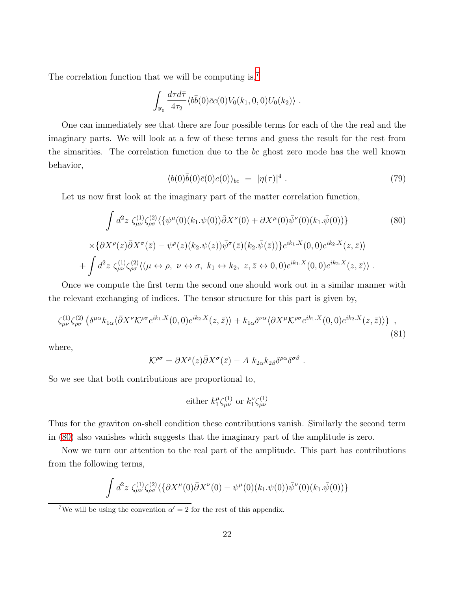The correlation function that we will be computing is,<sup>[7](#page-22-0)</sup>

$$
\int_{\mathbb{F}_0} \frac{d\tau d\bar{\tau}}{4\tau_2} \langle b\bar{b}(0)\bar{c}c(0)V_0(k_1,0,0)U_0(k_2)\rangle.
$$

One can immediately see that there are four possible terms for each of the the real and the imaginary parts. We will look at a few of these terms and guess the result for the rest from the simarities. The correlation function due to the bc ghost zero mode has the well known behavior,

<span id="page-22-1"></span>
$$
\langle b(0)\bar{b}(0)\bar{c}(0)c(0)\rangle_{bc} = |\eta(\tau)|^4.
$$
\n(79)

Let us now first look at the imaginary part of the matter correlation function,

$$
\int d^2z \zeta_{\mu\nu}^{(1)} \zeta_{\rho\sigma}^{(2)} \langle \{\psi^{\mu}(0)(k_1.\psi(0))\overline{\partial}X^{\nu}(0) + \partial X^{\mu}(0)\overline{\psi}^{\nu}(0)(k_1.\overline{\psi}(0))\}\n\times \{\partial X^{\rho}(z)\overline{\partial}X^{\sigma}(\overline{z}) - \psi^{\rho}(z)(k_2.\psi(z))\overline{\psi}^{\sigma}(\overline{z})(k_2.\overline{\psi}(\overline{z}))\}e^{ik_1.X}(0,0)e^{ik_2.X}(z,\overline{z})\n+ \int d^2z \zeta_{\mu\nu}^{(1)} \zeta_{\rho\sigma}^{(2)} \langle (\mu \leftrightarrow \rho, \ \nu \leftrightarrow \sigma, \ k_1 \leftrightarrow k_2, \ z, \overline{z} \leftrightarrow 0,0)e^{ik_1.X}(0,0)e^{ik_2.X}(z,\overline{z})\rangle.
$$
\n
$$
(80)
$$

Once we compute the first term the second one should work out in a similar manner with the relevant exchanging of indices. The tensor structure for this part is given by,

$$
\zeta_{\mu\nu}^{(1)} \zeta_{\rho\sigma}^{(2)} \left( \delta^{\mu\alpha} k_{1\alpha} \langle \bar{\partial} X^{\nu} \mathcal{K}^{\rho\sigma} e^{ik_1.X}(0,0) e^{ik_2.X}(z,\bar{z}) \rangle + k_{1\alpha} \delta^{\nu\alpha} \langle \partial X^{\mu} \mathcal{K}^{\rho\sigma} e^{ik_1.X}(0,0) e^{ik_2.X}(z,\bar{z}) \rangle \right) , \tag{81}
$$

where,

$$
\mathcal{K}^{\rho\sigma} = \partial X^{\rho}(z)\bar{\partial}X^{\sigma}(\bar{z}) - A k_{2\alpha}k_{2\beta}\delta^{\rho\alpha}\delta^{\sigma\beta}.
$$

So we see that both contributions are proportional to,

either 
$$
k_1^\mu \zeta_{\mu\nu}^{(1)}
$$
 or  $k_1^\nu \zeta_{\mu\nu}^{(1)}$ 

Thus for the graviton on-shell condition these contributions vanish. Similarly the second term in [\(80\)](#page-22-1) also vanishes which suggests that the imaginary part of the amplitude is zero.

Now we turn our attention to the real part of the amplitude. This part has contributions from the following terms,

$$
\int d^2z \,\zeta_{\mu\nu}^{(1)}\zeta_{\rho\sigma}^{(2)}\langle \{\partial X^{\mu}(0)\bar{\partial}X^{\nu}(0) - \psi^{\mu}(0)(k_1.\psi(0))\bar{\psi}^{\nu}(0)(k_1.\bar{\psi}(0))\}\,
$$

<span id="page-22-0"></span><sup>&</sup>lt;sup>7</sup>We will be using the convention  $\alpha' = 2$  for the rest of this appendix.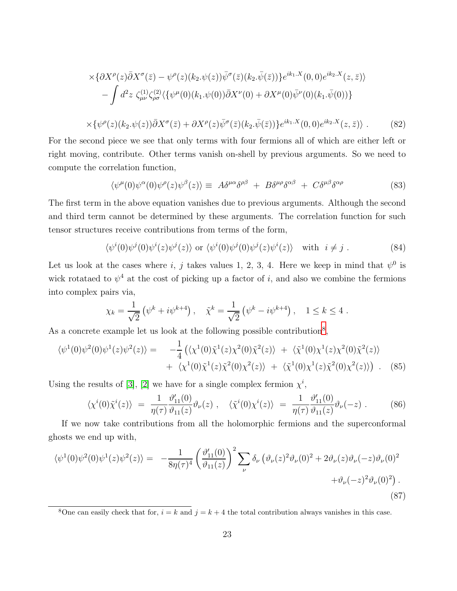$$
\times \{\partial X^{\rho}(z)\bar{\partial}X^{\sigma}(\bar{z}) - \psi^{\rho}(z)(k_2.\psi(z))\bar{\psi}^{\sigma}(\bar{z})(k_2.\bar{\psi}(\bar{z}))\}e^{ik_1.X}(0,0)e^{ik_2.X}(z,\bar{z})\}
$$

$$
-\int d^2z \zeta_{\mu\nu}^{(1)}\zeta_{\rho\sigma}^{(2)}\langle\{\psi^{\mu}(0)(k_1.\psi(0))\bar{\partial}X^{\nu}(0) + \partial X^{\mu}(0)\bar{\psi}^{\nu}(0)(k_1.\bar{\psi}(0))\}\rangle
$$

$$
\times \{\psi^{\rho}(z)(k_2.\psi(z))\bar{\partial}X^{\sigma}(\bar{z}) + \partial X^{\rho}(z)\bar{\psi}^{\sigma}(\bar{z})(k_2.\bar{\psi}(\bar{z}))\}e^{ik_1.X}(0,0)e^{ik_2.X}(z,\bar{z})\}\ .\tag{82}
$$

<span id="page-23-3"></span>For the second piece we see that only terms with four fermions all of which are either left or right moving, contribute. Other terms vanish on-shell by previous arguments. So we need to compute the correlation function,

$$
\langle \psi^{\mu}(0)\psi^{\alpha}(0)\psi^{\rho}(z)\psi^{\beta}(z)\rangle \equiv A\delta^{\mu\alpha}\delta^{\rho\beta} + B\delta^{\mu\rho}\delta^{\alpha\beta} + C\delta^{\mu\beta}\delta^{\alpha\rho} \tag{83}
$$

The first term in the above equation vanishes due to previous arguments. Although the second and third term cannot be determined by these arguments. The correlation function for such tensor structures receive contributions from terms of the form,

$$
\langle \psi^i(0)\psi^j(0)\psi^i(z)\psi^j(z)\rangle \text{ or } \langle \psi^i(0)\psi^j(0)\psi^j(z)\psi^i(z)\rangle \text{ with } i \neq j. \tag{84}
$$

Let us look at the cases where i, j takes values 1, 2, 3, 4. Here we keep in mind that  $\psi^0$  is wick rotataed to  $\psi^4$  at the cost of picking up a factor of i, and also we combine the fermions into complex pairs via,

<span id="page-23-0"></span>
$$
\chi_k = \frac{1}{\sqrt{2}} \left( \psi^k + i \psi^{k+4} \right), \quad \tilde{\chi}^k = \frac{1}{\sqrt{2}} \left( \psi^k - i \psi^{k+4} \right), \quad 1 \le k \le 4.
$$

As a concrete example let us look at the following possible contribution<sup>[8](#page-23-1)</sup>,

$$
\langle \psi^1(0)\psi^2(0)\psi^1(z)\psi^2(z)\rangle = -\frac{1}{4} \left( \langle \chi^1(0)\tilde{\chi}^1(z)\chi^2(0)\tilde{\chi}^2(z) \rangle + \langle \tilde{\chi}^1(0)\chi^1(z)\chi^2(0)\tilde{\chi}^2(z) \rangle \right) + \langle \chi^1(0)\tilde{\chi}^1(z)\tilde{\chi}^2(0)\chi^2(z) \rangle + \langle \tilde{\chi}^1(0)\chi^1(z)\tilde{\chi}^2(0)\chi^2(z) \rangle \right). (85)
$$

Using the results of [\[3\]](#page-25-8), [\[2\]](#page-25-1) we have for a single complex fermion  $\chi^i$ ,

<span id="page-23-2"></span>
$$
\langle \chi^i(0)\tilde{\chi}^i(z) \rangle = \frac{1}{\eta(\tau)} \frac{\vartheta'_{11}(0)}{\vartheta_{11}(z)} \vartheta_{\nu}(z) , \quad \langle \tilde{\chi}^i(0)\chi^i(z) \rangle = \frac{1}{\eta(\tau)} \frac{\vartheta'_{11}(0)}{\vartheta_{11}(z)} \vartheta_{\nu}(-z) . \tag{86}
$$

If we now take contributions from all the holomorphic fermions and the superconformal ghosts we end up with,

$$
\langle \psi^1(0)\psi^2(0)\psi^1(z)\psi^2(z)\rangle = -\frac{1}{8\eta(\tau)^4} \left(\frac{\vartheta'_{11}(0)}{\vartheta_{11}(z)}\right)^2 \sum_{\nu} \delta_{\nu} \left(\vartheta_{\nu}(z)^2 \vartheta_{\nu}(0)^2 + 2\vartheta_{\nu}(z)\vartheta_{\nu}(-z)\vartheta_{\nu}(0)^2 + \vartheta_{\nu}(-z)^2 \vartheta_{\nu}(0)^2\right).
$$
\n(87)

<span id="page-23-1"></span><sup>&</sup>lt;sup>8</sup>One can easily check that for,  $i = k$  and  $j = k + 4$  the total contribution always vanishes in this case.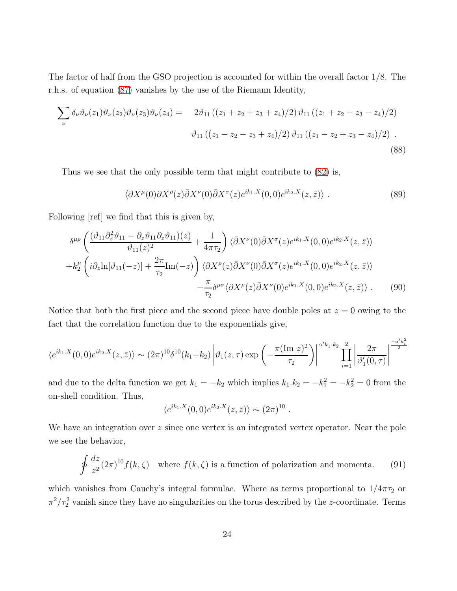The factor of half from the GSO projection is accounted for within the overall factor 1/8. The r.h.s. of equation [\(87\)](#page-23-2) vanishes by the use of the Riemann Identity,

$$
\sum_{\nu} \delta_{\nu} \vartheta_{\nu}(z_1) \vartheta_{\nu}(z_2) \vartheta_{\nu}(z_3) \vartheta_{\nu}(z_4) = 2 \vartheta_{11} ((z_1 + z_2 + z_3 + z_4)/2) \vartheta_{11} ((z_1 + z_2 - z_3 - z_4)/2)
$$
  

$$
\vartheta_{11} ((z_1 - z_2 - z_3 + z_4)/2) \vartheta_{11} ((z_1 - z_2 + z_3 - z_4)/2).
$$
 (88)

Thus we see that the only possible term that might contribute to [\(82\)](#page-23-3) is,

$$
\langle \partial X^{\mu}(0) \partial X^{\rho}(z) \bar{\partial} X^{\nu}(0) \bar{\partial} X^{\sigma}(z) e^{ik_1.X}(0,0) e^{ik_2.X}(z,\bar{z}) \rangle . \tag{89}
$$

Following [ref] we find that this is given by,

$$
\delta^{\mu\rho} \left( \frac{(\vartheta_{11}\partial_z^2 \vartheta_{11} - \partial_z \vartheta_{11}\partial_z \vartheta_{11})(z)}{\vartheta_{11}(z)^2} + \frac{1}{4\pi\tau_2} \right) \langle \bar{\partial}X^{\nu}(0)\bar{\partial}X^{\sigma}(z)e^{ik_1.X}(0,0)e^{ik_2.X}(z,\bar{z}) \rangle \n+ k_2^{\mu} \left( i\partial_z \ln[\vartheta_{11}(-z)] + \frac{2\pi}{\tau_2} \text{Im}(-z) \right) \langle \partial X^{\rho}(z)\bar{\partial}X^{\nu}(0)\bar{\partial}X^{\sigma}(z)e^{ik_1.X}(0,0)e^{ik_2.X}(z,\bar{z}) \rangle \n- \frac{\pi}{\tau_2} \delta^{\mu\sigma} \langle \partial X^{\rho}(z)\bar{\partial}X^{\nu}(0)e^{ik_1.X}(0,0)e^{ik_2.X}(z,\bar{z}) \rangle . \tag{90}
$$

Notice that both the first piece and the second piece have double poles at  $z = 0$  owing to the fact that the correlation function due to the exponentials give,

$$
\langle e^{ik_1.X}(0,0)e^{ik_2.X}(z,\bar{z})\rangle \sim (2\pi)^{10}\delta^{10}(k_1+k_2)\left|\vartheta_1(z,\tau)\exp\left(-\frac{\pi(\text{Im }z)^2}{\tau_2}\right)\right|^{\alpha'k_1.k_2}\prod_{i=1}^2\left|\frac{2\pi}{\vartheta'_1(0,\tau)}\right|^{-\frac{\alpha'k_i^2}{2}}
$$

and due to the delta function we get  $k_1 = -k_2$  which implies  $k_1 \cdot k_2 = -k_1^2 = -k_2^2 = 0$  from the on-shell condition. Thus,

$$
\langle e^{ik_1.X}(0,0)e^{ik_2.X}(z,\bar{z})\rangle \sim (2\pi)^{10}
$$
.

We have an integration over  $z$  since one vertex is an integrated vertex operator. Near the pole we see the behavior,

$$
\oint \frac{dz}{z^2} (2\pi)^{10} f(k,\zeta) \quad \text{where } f(k,\zeta) \text{ is a function of polarization and momenta.} \tag{91}
$$

which vanishes from Cauchy's integral formulae. Where as terms proportional to  $1/4\pi\tau_2$  or  $\pi^2/\tau_2^2$  vanish since they have no singularities on the torus described by the z-coordinate. Terms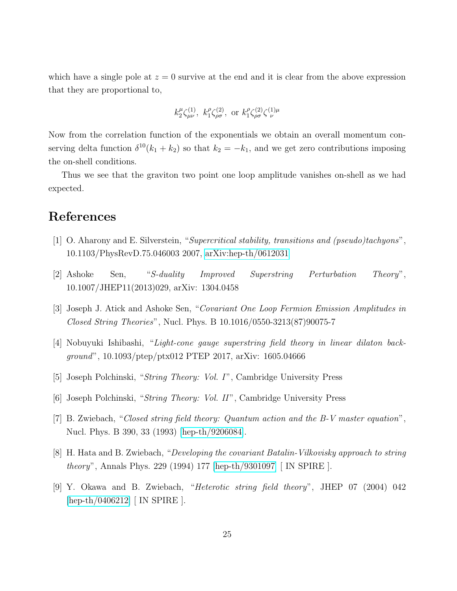which have a single pole at  $z = 0$  survive at the end and it is clear from the above expression that they are proportional to,

$$
k_2^{\mu} \zeta_{\mu\nu}^{(1)}, k_1^{\rho} \zeta_{\rho\sigma}^{(2)}, \text{ or } k_1^{\rho} \zeta_{\rho\sigma}^{(2)} \zeta_{\nu}^{(1)\mu}
$$

Now from the correlation function of the exponentials we obtain an overall momentum conserving delta function  $\delta^{10}(k_1 + k_2)$  so that  $k_2 = -k_1$ , and we get zero contributions imposing the on-shell conditions.

Thus we see that the graviton two point one loop amplitude vanishes on-shell as we had expected.

### <span id="page-25-0"></span>References

- <span id="page-25-1"></span>[1] O. Aharony and E. Silverstein, "Supercritical stability, transitions and (pseudo)tachyons", 10.1103/PhysRevD.75.046003 2007, [arXiv:hep-th/0612031](http://arxiv.org/abs/hep-th/0612031)
- <span id="page-25-8"></span>[2] Ashoke Sen, "S-duality Improved Superstring Perturbation Theory", 10.1007/JHEP11(2013)029, arXiv: 1304.0458
- <span id="page-25-7"></span>[3] Joseph J. Atick and Ashoke Sen, "Covariant One Loop Fermion Emission Amplitudes in Closed String Theories", Nucl. Phys. B 10.1016/0550-3213(87)90075-7
- <span id="page-25-2"></span>[4] Nobuyuki Ishibashi, "Light-cone gauge superstring field theory in linear dilaton background", 10.1093/ptep/ptx012 PTEP 2017, arXiv: 1605.04666
- <span id="page-25-3"></span>[5] Joseph Polchinski, "String Theory: Vol. I", Cambridge University Press
- <span id="page-25-4"></span>[6] Joseph Polchinski, "String Theory: Vol. II ", Cambridge University Press
- <span id="page-25-5"></span>[7] B. Zwiebach, "Closed string field theory: Quantum action and the B-V master equation", Nucl. Phys. B 390, 33 (1993) [\[hep-th/9206084\]](http://arxiv.org/abs/hep-th/9206084).
- <span id="page-25-6"></span>[8] H. Hata and B. Zwiebach, "Developing the covariant Batalin-Vilkovisky approach to string theory", Annals Phys. 229 (1994) 177 [\[hep-th/9301097\]](http://arxiv.org/abs/hep-th/9301097) [ IN SPIRE ].
- [9] Y. Okawa and B. Zwiebach, "Heterotic string field theory", JHEP 07 (2004) 042 [\[hep-th/0406212\]](http://arxiv.org/abs/hep-th/0406212) [ IN SPIRE ].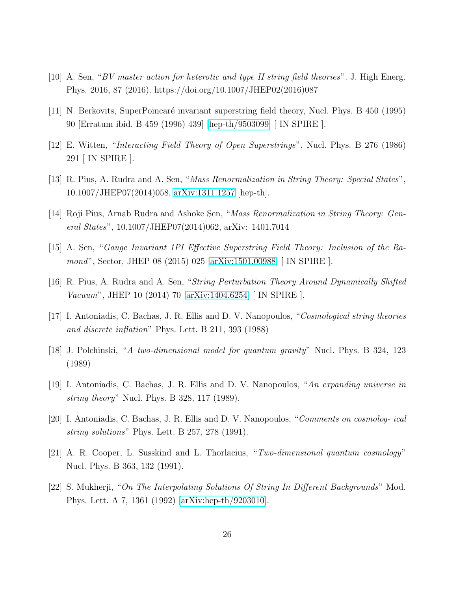- <span id="page-26-5"></span><span id="page-26-4"></span>[10] A. Sen, "BV master action for heterotic and type II string field theories". J. High Energ. Phys. 2016, 87 (2016). https://doi.org/10.1007/JHEP02(2016)087
- <span id="page-26-6"></span>[11] N. Berkovits, SuperPoincaré invariant superstring field theory, Nucl. Phys. B 450 (1995) 90 [Erratum ibid. B 459 (1996) 439] [\[hep-th/9503099\]](http://arxiv.org/abs/hep-th/9503099) [ IN SPIRE ].
- <span id="page-26-8"></span>[12] E. Witten, "Interacting Field Theory of Open Superstrings", Nucl. Phys. B 276 (1986) 291 [ IN SPIRE ].
- <span id="page-26-9"></span>[13] R. Pius, A. Rudra and A. Sen, "Mass Renormalization in String Theory: Special States", 10.1007/JHEP07(2014)058, [arXiv:1311.1257](http://arxiv.org/abs/1311.1257) [hep-th].
- <span id="page-26-7"></span>[14] Roji Pius, Arnab Rudra and Ashoke Sen, "Mass Renormalization in String Theory: General States", 10.1007/JHEP07(2014)062, arXiv: 1401.7014
- <span id="page-26-10"></span>[15] A. Sen, "Gauge Invariant 1PI Effective Superstring Field Theory: Inclusion of the Ramond", Sector, JHEP 08 (2015) 025 [\[arXiv:1501.00988\]](http://arxiv.org/abs/1501.00988) [ IN SPIRE ].
- <span id="page-26-0"></span>[16] R. Pius, A. Rudra and A. Sen, "String Perturbation Theory Around Dynamically Shifted Vacuum", JHEP 10 (2014) 70 [\[arXiv:1404.6254\]](http://arxiv.org/abs/1404.6254) [ IN SPIRE ].
- <span id="page-26-1"></span>[17] I. Antoniadis, C. Bachas, J. R. Ellis and D. V. Nanopoulos, "Cosmological string theories and discrete inflation" Phys. Lett. B 211, 393 (1988)
- <span id="page-26-2"></span>[18] J. Polchinski, "A two-dimensional model for quantum gravity" Nucl. Phys. B 324, 123 (1989)
- <span id="page-26-3"></span>[19] I. Antoniadis, C. Bachas, J. R. Ellis and D. V. Nanopoulos, "An expanding universe in string theory" Nucl. Phys. B 328, 117 (1989).
- [20] I. Antoniadis, C. Bachas, J. R. Ellis and D. V. Nanopoulos, "Comments on cosmolog- ical string solutions" Phys. Lett. B 257, 278 (1991).
- [21] A. R. Cooper, L. Susskind and L. Thorlacius, "Two-dimensional quantum cosmology" Nucl. Phys. B 363, 132 (1991).
- [22] S. Mukherji, "On The Interpolating Solutions Of String In Different Backgrounds" Mod. Phys. Lett. A 7, 1361 (1992) [\[arXiv:hep-th/9203010\]](http://arxiv.org/abs/hep-th/9203010).